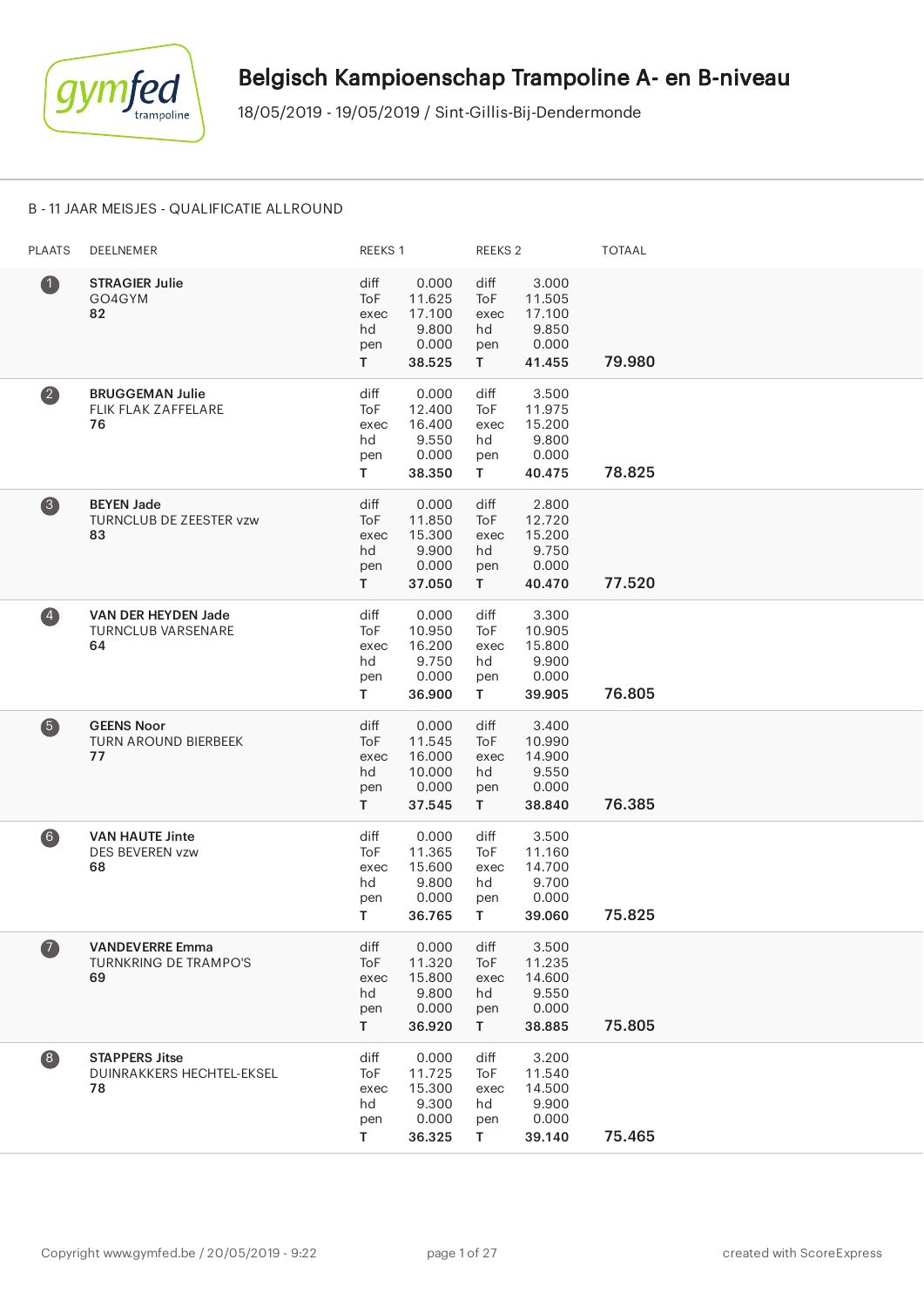

#### B - 11 JAAR MEISJES - QUALIFICATIE ALLROUND

| <b>PLAATS</b>           | DEELNEMER                                                    | REEKS 1                                |                                                        | REEKS <sub>2</sub>                     |                                                       | <b>TOTAAL</b> |
|-------------------------|--------------------------------------------------------------|----------------------------------------|--------------------------------------------------------|----------------------------------------|-------------------------------------------------------|---------------|
| $\bullet$               | <b>STRAGIER Julie</b><br>GO4GYM<br>82                        | diff<br>ToF<br>exec<br>hd<br>pen<br>T. | 0.000<br>11.625<br>17.100<br>9.800<br>0.000<br>38.525  | diff<br>ToF<br>exec<br>hd<br>pen<br>T. | 3.000<br>11.505<br>17.100<br>9.850<br>0.000<br>41.455 | 79.980        |
| $\overline{\mathbf{2}}$ | <b>BRUGGEMAN Julie</b><br>FLIK FLAK ZAFFELARE<br>76          | diff<br>ToF<br>exec<br>hd<br>pen<br>T. | 0.000<br>12.400<br>16.400<br>9.550<br>0.000<br>38.350  | diff<br>ToF<br>exec<br>hd<br>pen<br>T. | 3.500<br>11.975<br>15.200<br>9.800<br>0.000<br>40.475 | 78.825        |
| 3                       | <b>BEYEN Jade</b><br>TURNCLUB DE ZEESTER vzw<br>83           | diff<br>ToF<br>exec<br>hd<br>pen<br>T. | 0.000<br>11.850<br>15.300<br>9.900<br>0.000<br>37.050  | diff<br>ToF<br>exec<br>hd<br>pen<br>T. | 2.800<br>12.720<br>15.200<br>9.750<br>0.000<br>40.470 | 77.520        |
| $\left( 4\right)$       | VAN DER HEYDEN Jade<br><b>TURNCLUB VARSENARE</b><br>64       | diff<br>ToF<br>exec<br>hd<br>pen<br>T. | 0.000<br>10.950<br>16.200<br>9.750<br>0.000<br>36.900  | diff<br>ToF<br>exec<br>hd<br>pen<br>T. | 3.300<br>10.905<br>15.800<br>9.900<br>0.000<br>39.905 | 76.805        |
| 6                       | <b>GEENS Noor</b><br><b>TURN AROUND BIERBEEK</b><br>77       | diff<br>ToF<br>exec<br>hd<br>pen<br>T. | 0.000<br>11.545<br>16.000<br>10.000<br>0.000<br>37.545 | diff<br>ToF<br>exec<br>hd<br>pen<br>T. | 3.400<br>10.990<br>14.900<br>9.550<br>0.000<br>38.840 | 76.385        |
| $6$                     | <b>VAN HAUTE Jinte</b><br><b>DES BEVEREN vzw</b><br>68       | diff<br>ToF<br>exec<br>hd<br>pen<br>Τ  | 0.000<br>11.365<br>15.600<br>9.800<br>0.000<br>36.765  | diff<br>ToF<br>exec<br>hd<br>pen<br>T. | 3.500<br>11.160<br>14.700<br>9.700<br>0.000<br>39.060 | 75.825        |
| $\boldsymbol{\sigma}$   | <b>VANDEVERRE Emma</b><br><b>TURNKRING DE TRAMPO'S</b><br>69 | diff<br>ToF<br>exec<br>hd<br>pen<br>T. | 0.000<br>11.320<br>15.800<br>9.800<br>0.000<br>36.920  | diff<br>ToF<br>exec<br>hd<br>pen<br>T. | 3.500<br>11.235<br>14.600<br>9.550<br>0.000<br>38.885 | 75.805        |
| $\left( 8\right)$       | <b>STAPPERS Jitse</b><br>DUINRAKKERS HECHTEL-EKSEL<br>78     | diff<br>ToF<br>exec<br>hd<br>pen<br>T  | 0.000<br>11.725<br>15.300<br>9.300<br>0.000<br>36.325  | diff<br>ToF<br>exec<br>hd<br>pen<br>T. | 3.200<br>11.540<br>14.500<br>9.900<br>0.000<br>39.140 | 75.465        |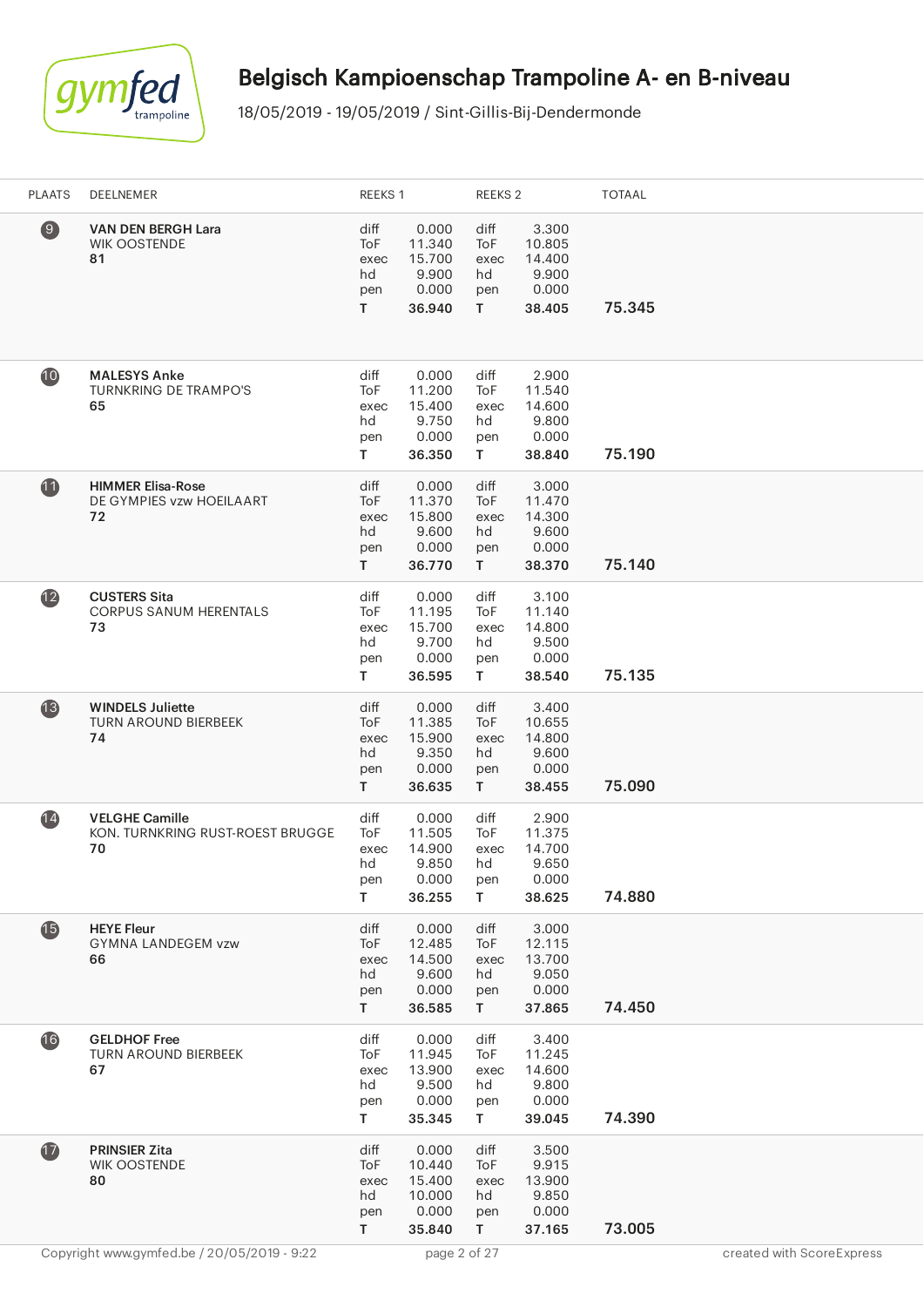

| <b>PLAATS</b>   | DEELNEMER                                                       | REEKS 1                                |                                                        | REEKS 2                                          |                                                       | <b>TOTAAL</b> |
|-----------------|-----------------------------------------------------------------|----------------------------------------|--------------------------------------------------------|--------------------------------------------------|-------------------------------------------------------|---------------|
| $\circledcirc$  | <b>VAN DEN BERGH Lara</b><br><b>WIK OOSTENDE</b><br>81          | diff<br>ToF<br>exec<br>hd<br>pen<br>T. | 0.000<br>11.340<br>15.700<br>9.900<br>0.000<br>36.940  | diff<br>ToF<br>exec<br>hd<br>pen<br>$\mathbf{T}$ | 3.300<br>10.805<br>14.400<br>9.900<br>0.000<br>38.405 | 75.345        |
| $\mathbf{10}$   | <b>MALESYS Anke</b><br><b>TURNKRING DE TRAMPO'S</b><br>65       | diff<br>ToF<br>exec<br>hd<br>pen<br>T. | 0.000<br>11.200<br>15.400<br>9.750<br>0.000<br>36.350  | diff<br>ToF<br>exec<br>hd<br>pen<br>T.           | 2.900<br>11.540<br>14.600<br>9.800<br>0.000<br>38.840 | 75.190        |
| $\mathbf{1}$    | <b>HIMMER Elisa-Rose</b><br>DE GYMPIES vzw HOEILAART<br>72      | diff<br>ToF<br>exec<br>hd<br>pen<br>T. | 0.000<br>11.370<br>15.800<br>9.600<br>0.000<br>36.770  | diff<br>ToF<br>exec<br>hd<br>pen<br>T.           | 3.000<br>11.470<br>14.300<br>9.600<br>0.000<br>38.370 | 75.140        |
| (12)            | <b>CUSTERS Sita</b><br><b>CORPUS SANUM HERENTALS</b><br>73      | diff<br>ToF<br>exec<br>hd<br>pen<br>T. | 0.000<br>11.195<br>15.700<br>9.700<br>0.000<br>36.595  | diff<br>ToF<br>exec<br>hd<br>pen<br>T            | 3.100<br>11.140<br>14.800<br>9.500<br>0.000<br>38.540 | 75.135        |
| $\overline{13}$ | <b>WINDELS Juliette</b><br><b>TURN AROUND BIERBEEK</b><br>74    | diff<br>ToF<br>exec<br>hd<br>pen<br>T. | 0.000<br>11.385<br>15.900<br>9.350<br>0.000<br>36.635  | diff<br>ToF<br>exec<br>hd<br>pen<br>T.           | 3.400<br>10.655<br>14.800<br>9.600<br>0.000<br>38.455 | 75.090        |
| $\mathbf{14}$   | <b>VELGHE Camille</b><br>KON. TURNKRING RUST-ROEST BRUGGE<br>70 | diff<br>ToF<br>exec<br>hd<br>pen<br>T. | 0.000<br>11.505<br>14.900<br>9.850<br>0.000<br>36.255  | diff<br>ToF<br>exec<br>hd<br>pen<br>T.           | 2.900<br>11.375<br>14.700<br>9.650<br>0.000<br>38.625 | 74.880        |
| $\mathbf{G}$    | <b>HEYE Fleur</b><br><b>GYMNA LANDEGEM vzw</b><br>66            | diff<br>ToF<br>exec<br>hd<br>pen<br>T. | 0.000<br>12.485<br>14.500<br>9.600<br>0.000<br>36.585  | diff<br>ToF<br>exec<br>hd<br>pen<br>T.           | 3.000<br>12.115<br>13.700<br>9.050<br>0.000<br>37.865 | 74.450        |
| 16              | <b>GELDHOF Free</b><br><b>TURN AROUND BIERBEEK</b><br>67        | diff<br>ToF<br>exec<br>hd<br>pen<br>T. | 0.000<br>11.945<br>13.900<br>9.500<br>0.000<br>35.345  | diff<br>ToF<br>exec<br>hd<br>pen<br>T.           | 3.400<br>11.245<br>14.600<br>9.800<br>0.000<br>39.045 | 74.390        |
| $\mathbf{1}$    | <b>PRINSIER Zita</b><br><b>WIK OOSTENDE</b><br>80               | diff<br>ToF<br>exec<br>hd<br>pen<br>T. | 0.000<br>10.440<br>15.400<br>10.000<br>0.000<br>35.840 | diff<br>ToF<br>exec<br>hd<br>pen<br>T.           | 3.500<br>9.915<br>13.900<br>9.850<br>0.000<br>37.165  | 73.005        |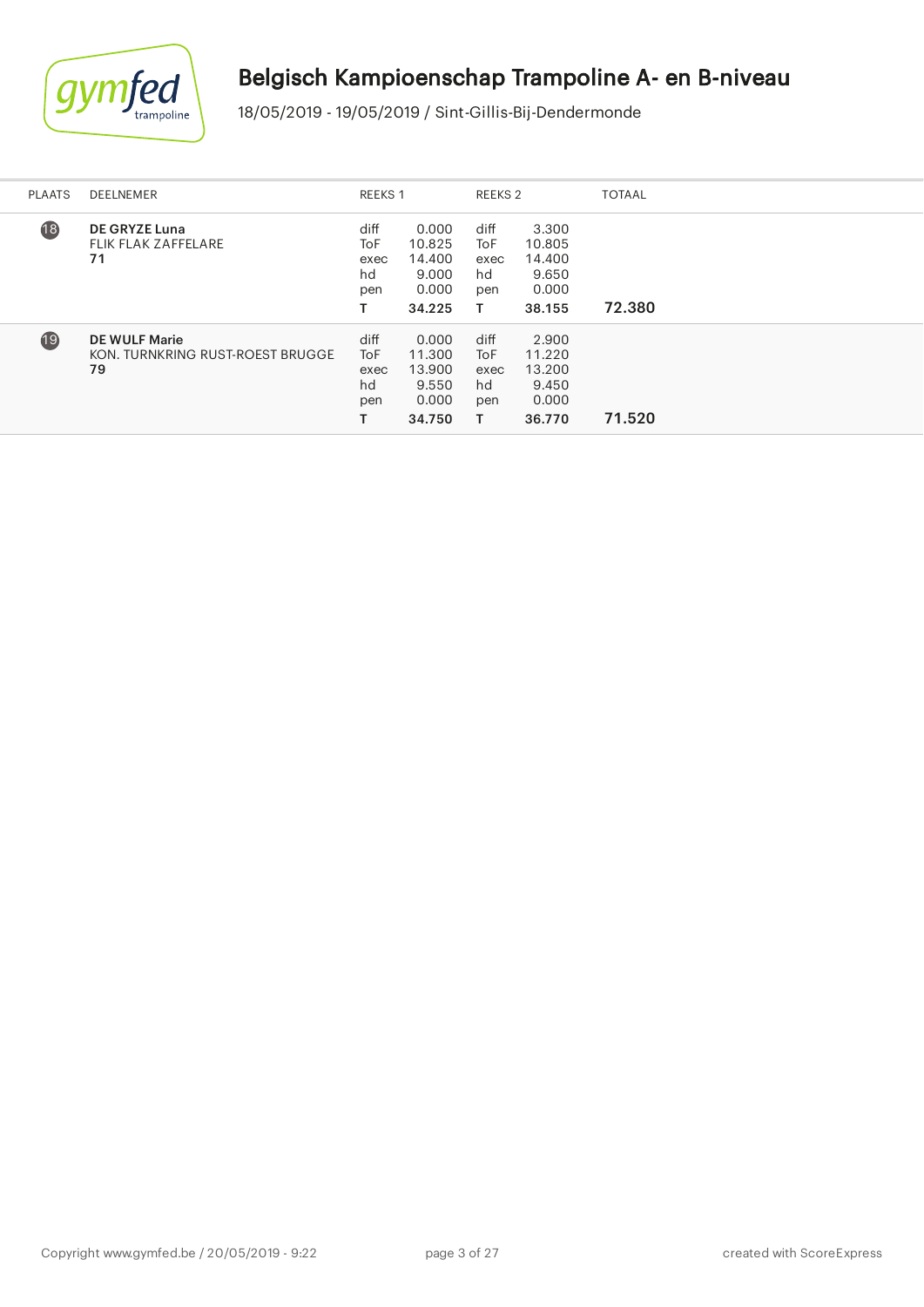

| <b>PLAATS</b>   | DEELNEMER                                                      |                                         | <b>REEKS 1</b>                                        |                                       | REEKS 2                                               | <b>TOTAAL</b> |
|-----------------|----------------------------------------------------------------|-----------------------------------------|-------------------------------------------------------|---------------------------------------|-------------------------------------------------------|---------------|
| $\overline{18}$ | <b>DE GRYZE Luna</b><br><b>FLIK FLAK ZAFFELARE</b><br>71       | diff<br><b>ToF</b><br>exec<br>hd<br>pen | 0.000<br>10.825<br>14.400<br>9.000<br>0.000<br>34.225 | diff<br>ToF<br>exec<br>hd<br>pen<br>т | 3.300<br>10.805<br>14.400<br>9.650<br>0.000<br>38.155 | 72.380        |
| $\overline{19}$ | <b>DE WULF Marie</b><br>KON. TURNKRING RUST-ROEST BRUGGE<br>79 | diff<br>ToF<br>exec<br>hd<br>pen        | 0.000<br>11.300<br>13.900<br>9.550<br>0.000<br>34.750 | diff<br>ToF<br>exec<br>hd<br>pen      | 2.900<br>11.220<br>13.200<br>9.450<br>0.000<br>36.770 | 71.520        |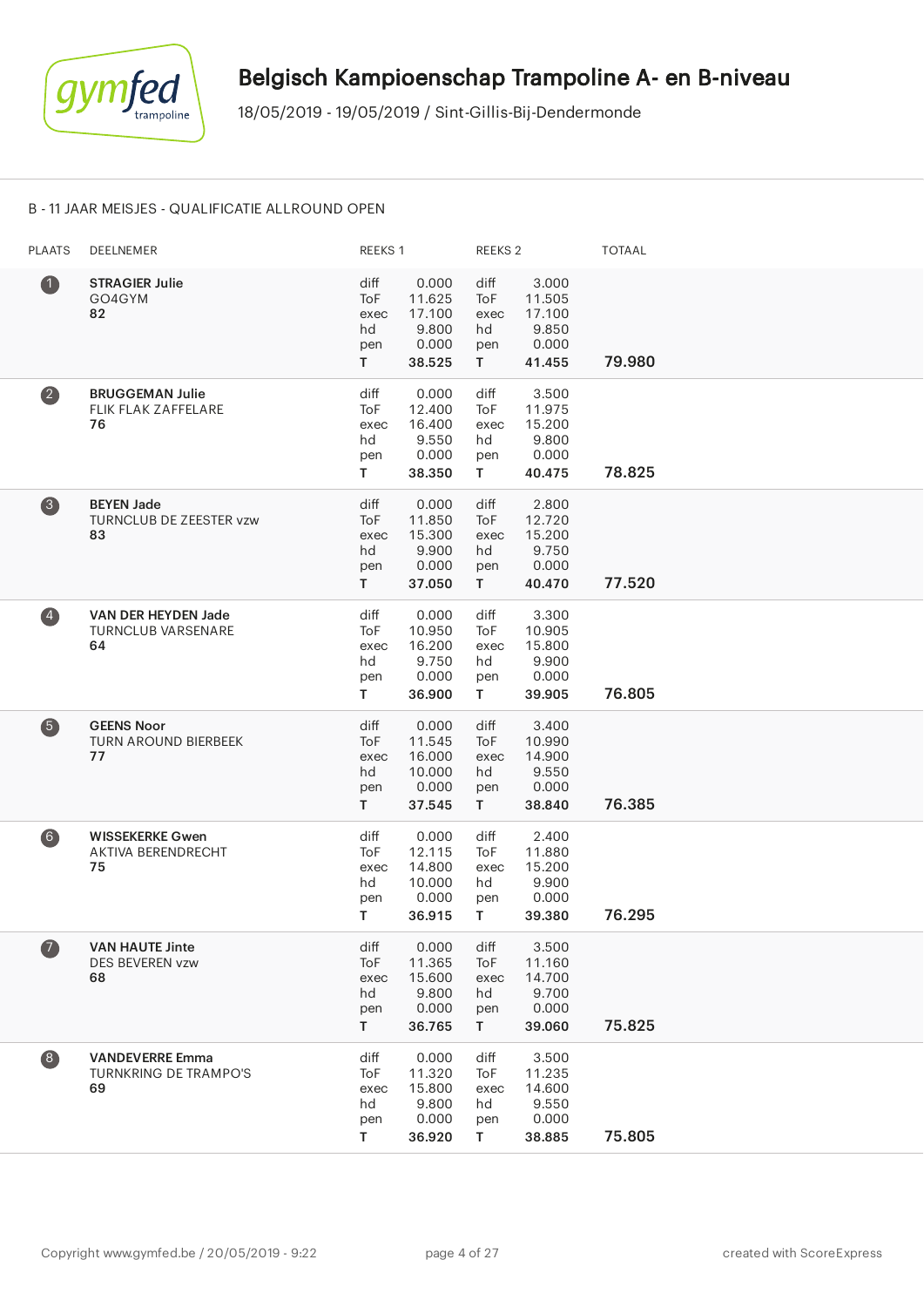

#### B - 11 JAAR MEISJES - QUALIFICATIE ALLROUND OPEN

| <b>PLAATS</b>                           | DEELNEMER                                                    | REEKS 1                                       |                                                        | REEKS <sub>2</sub>                     |                                                       | <b>TOTAAL</b> |
|-----------------------------------------|--------------------------------------------------------------|-----------------------------------------------|--------------------------------------------------------|----------------------------------------|-------------------------------------------------------|---------------|
| $\bf 0$                                 | <b>STRAGIER Julie</b><br>GO4GYM<br>82                        | diff<br><b>ToF</b><br>exec<br>hd<br>pen<br>T. | 0.000<br>11.625<br>17.100<br>9.800<br>0.000<br>38.525  | diff<br>ToF<br>exec<br>hd<br>pen<br>T. | 3.000<br>11.505<br>17.100<br>9.850<br>0.000<br>41.455 | 79.980        |
| $\left( 2\right)$                       | <b>BRUGGEMAN Julie</b><br>FLIK FLAK ZAFFELARE<br>76          | diff<br>ToF<br>exec<br>hd<br>pen<br>T.        | 0.000<br>12.400<br>16.400<br>9.550<br>0.000<br>38.350  | diff<br>ToF<br>exec<br>hd<br>pen<br>T. | 3.500<br>11.975<br>15.200<br>9.800<br>0.000<br>40.475 | 78.825        |
| 8                                       | <b>BEYEN Jade</b><br>TURNCLUB DE ZEESTER vzw<br>83           | diff<br>ToF<br>exec<br>hd<br>pen<br>T.        | 0.000<br>11.850<br>15.300<br>9.900<br>0.000<br>37.050  | diff<br>ToF<br>exec<br>hd<br>pen<br>T. | 2.800<br>12.720<br>15.200<br>9.750<br>0.000<br>40.470 | 77.520        |
| $\left( \frac{1}{2} \right)$            | VAN DER HEYDEN Jade<br><b>TURNCLUB VARSENARE</b><br>64       | diff<br>ToF<br>exec<br>hd<br>pen<br>T.        | 0.000<br>10.950<br>16.200<br>9.750<br>0.000<br>36.900  | diff<br>ToF<br>exec<br>hd<br>pen<br>T. | 3.300<br>10.905<br>15.800<br>9.900<br>0.000<br>39.905 | 76.805        |
| 6                                       | <b>GEENS Noor</b><br><b>TURN AROUND BIERBEEK</b><br>77       | diff<br>ToF<br>exec<br>hd<br>pen<br>T         | 0.000<br>11.545<br>16.000<br>10.000<br>0.000<br>37.545 | diff<br>ToF<br>exec<br>hd<br>pen<br>T. | 3.400<br>10.990<br>14.900<br>9.550<br>0.000<br>38.840 | 76.385        |
| $6$                                     | <b>WISSEKERKE Gwen</b><br>AKTIVA BERENDRECHT<br>75           | diff<br>ToF<br>exec<br>hd<br>pen<br>T.        | 0.000<br>12.115<br>14.800<br>10.000<br>0.000<br>36.915 | diff<br>ToF<br>exec<br>hd<br>pen<br>T. | 2.400<br>11.880<br>15.200<br>9.900<br>0.000<br>39.380 | 76.295        |
| $\bullet$                               | <b>VAN HAUTE Jinte</b><br>DES BEVEREN vzw<br>68              | diff<br>ToF<br>exec<br>hd<br>pen<br>T.        | 0.000<br>11.365<br>15.600<br>9.800<br>0.000<br>36.765  | diff<br>ToF<br>exec<br>hd<br>pen<br>T. | 3.500<br>11.160<br>14.700<br>9.700<br>0.000<br>39.060 | 75.825        |
| $\begin{array}{c} \hline 8 \end{array}$ | <b>VANDEVERRE Emma</b><br><b>TURNKRING DE TRAMPO'S</b><br>69 | diff<br>ToF<br>exec<br>hd<br>pen<br>T         | 0.000<br>11.320<br>15.800<br>9.800<br>0.000<br>36.920  | diff<br>ToF<br>exec<br>hd<br>pen<br>T. | 3.500<br>11.235<br>14.600<br>9.550<br>0.000<br>38.885 | 75.805        |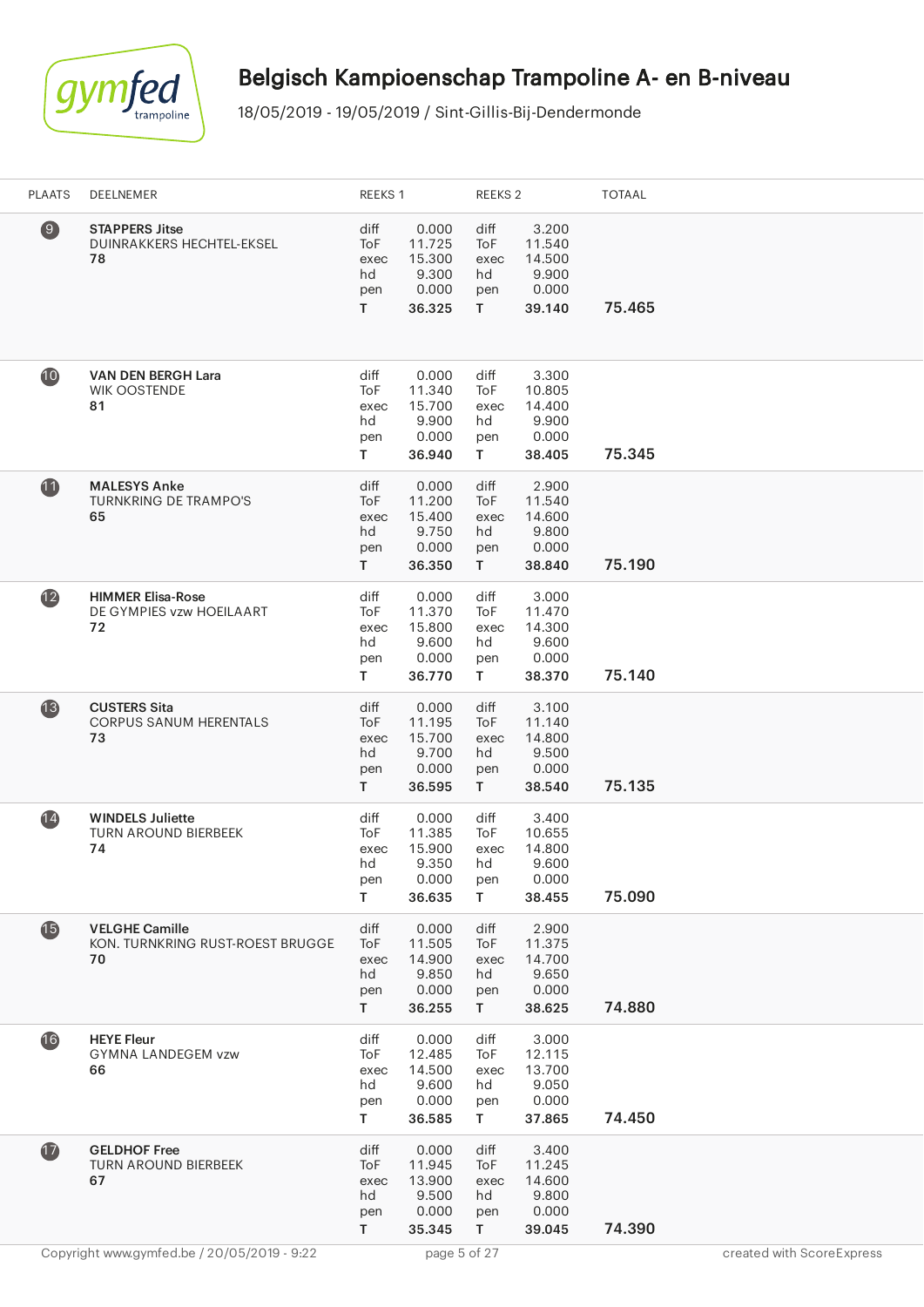

| <b>PLAATS</b>   | DEELNEMER                                                       | REEKS 1                                |                                                       | REEKS 2                                          |                                                       | <b>TOTAAL</b> |                           |
|-----------------|-----------------------------------------------------------------|----------------------------------------|-------------------------------------------------------|--------------------------------------------------|-------------------------------------------------------|---------------|---------------------------|
| $\circledcirc$  | <b>STAPPERS Jitse</b><br>DUINRAKKERS HECHTEL-EKSEL<br>78        | diff<br>ToF<br>exec<br>hd<br>pen<br>T. | 0.000<br>11.725<br>15.300<br>9.300<br>0.000<br>36.325 | diff<br>ToF<br>exec<br>hd<br>pen<br>T.           | 3.200<br>11.540<br>14.500<br>9.900<br>0.000<br>39.140 | 75.465        |                           |
| 10              | <b>VAN DEN BERGH Lara</b><br><b>WIK OOSTENDE</b><br>81          | diff<br>ToF<br>exec<br>hd<br>pen<br>T. | 0.000<br>11.340<br>15.700<br>9.900<br>0.000<br>36.940 | diff<br>ToF<br>exec<br>hd<br>pen<br>T.           | 3.300<br>10.805<br>14.400<br>9.900<br>0.000<br>38.405 | 75.345        |                           |
| 11              | <b>MALESYS Anke</b><br><b>TURNKRING DE TRAMPO'S</b><br>65       | diff<br>ToF<br>exec<br>hd<br>pen<br>T  | 0.000<br>11.200<br>15.400<br>9.750<br>0.000<br>36.350 | diff<br>ToF<br>exec<br>hd<br>pen<br>$\mathsf{T}$ | 2.900<br>11.540<br>14.600<br>9.800<br>0.000<br>38.840 | 75.190        |                           |
| $\mathbf{12}$   | <b>HIMMER Elisa-Rose</b><br>DE GYMPIES vzw HOEILAART<br>72      | diff<br>ToF<br>exec<br>hd<br>pen<br>T  | 0.000<br>11.370<br>15.800<br>9.600<br>0.000<br>36.770 | diff<br>ToF<br>exec<br>hd<br>pen<br>T            | 3.000<br>11.470<br>14.300<br>9.600<br>0.000<br>38.370 | 75.140        |                           |
| $\overline{13}$ | <b>CUSTERS Sita</b><br><b>CORPUS SANUM HERENTALS</b><br>73      | diff<br>ToF<br>exec<br>hd<br>pen<br>T. | 0.000<br>11.195<br>15.700<br>9.700<br>0.000<br>36.595 | diff<br>ToF<br>exec<br>hd<br>pen<br>T.           | 3.100<br>11.140<br>14.800<br>9.500<br>0.000<br>38.540 | 75.135        |                           |
| (14)            | <b>WINDELS Juliette</b><br><b>TURN AROUND BIERBEEK</b><br>74    | diff<br>ToF<br>exec<br>hd<br>pen<br>T. | 0.000<br>11.385<br>15.900<br>9.350<br>0.000<br>36.635 | diff<br>ToF<br>exec<br>hd<br>pen<br>T.           | 3.400<br>10.655<br>14.800<br>9.600<br>0.000<br>38.455 | 75.090        |                           |
| $\mathbf{G}$    | <b>VELGHE Camille</b><br>KON. TURNKRING RUST-ROEST BRUGGE<br>70 | diff<br>ToF<br>exec<br>hd<br>pen<br>T. | 0.000<br>11.505<br>14.900<br>9.850<br>0.000<br>36.255 | diff<br>ToF<br>exec<br>hd<br>pen<br>T.           | 2.900<br>11.375<br>14.700<br>9.650<br>0.000<br>38.625 | 74.880        |                           |
| 16              | <b>HEYE Fleur</b><br><b>GYMNA LANDEGEM vzw</b><br>66            | diff<br>ToF<br>exec<br>hd<br>pen<br>T. | 0.000<br>12.485<br>14.500<br>9.600<br>0.000<br>36.585 | diff<br>ToF<br>exec<br>hd<br>pen<br>T.           | 3.000<br>12.115<br>13.700<br>9.050<br>0.000<br>37.865 | 74.450        |                           |
| $\mathbf{D}$    | <b>GELDHOF Free</b><br><b>TURN AROUND BIERBEEK</b><br>67        | diff<br>ToF<br>exec<br>hd<br>pen<br>T  | 0.000<br>11.945<br>13.900<br>9.500<br>0.000<br>35.345 | diff<br>ToF<br>exec<br>hd<br>pen<br>T            | 3.400<br>11.245<br>14.600<br>9.800<br>0.000<br>39.045 | 74.390        |                           |
|                 | Copyright www.gymfed.be / 20/05/2019 - 9:22                     |                                        | page 5 of 27                                          |                                                  |                                                       |               | created with ScoreExpress |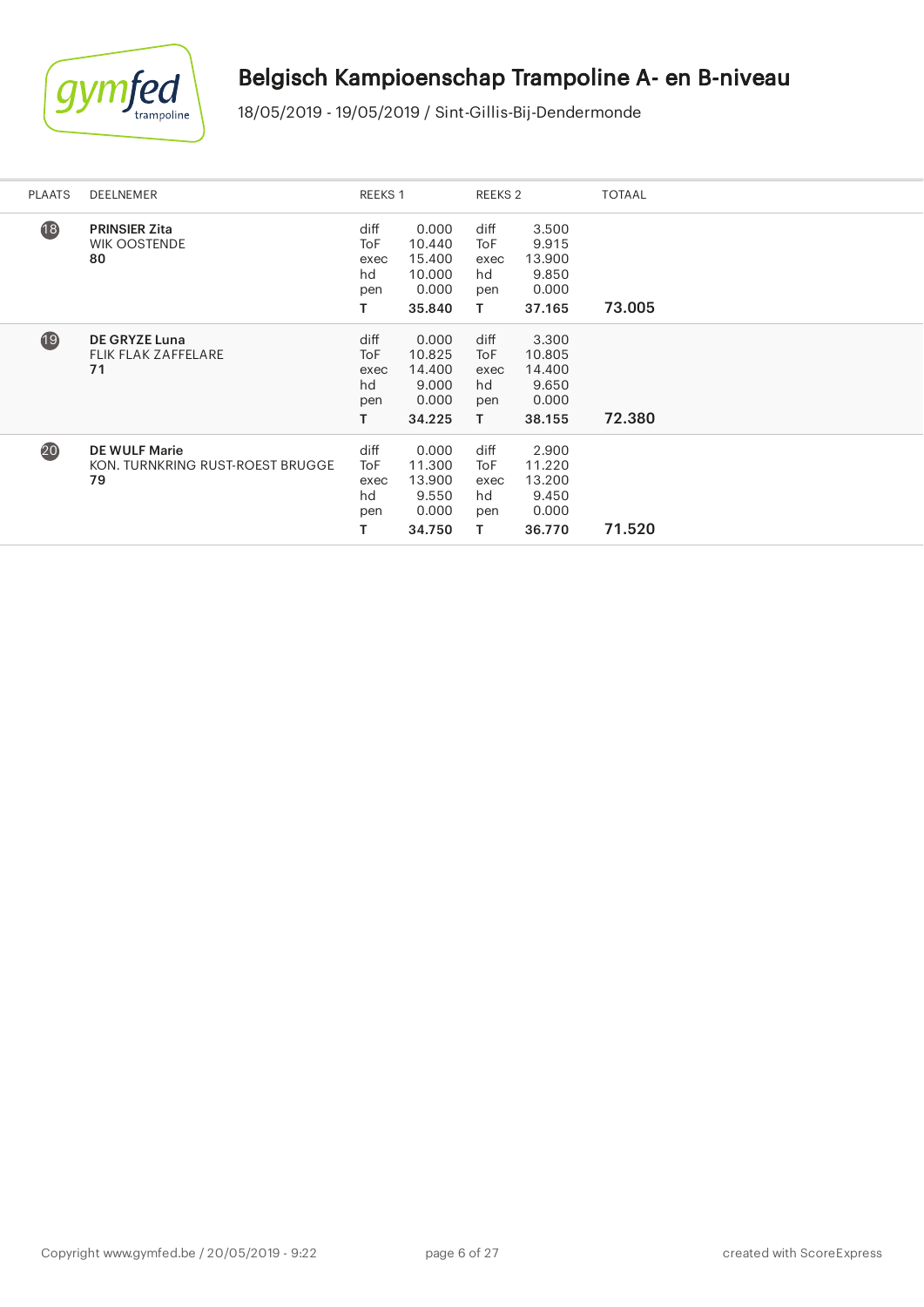

| <b>PLAATS</b>   | <b>DEELNEMER</b>                                               | REEKS 1                                |                                                        | REEKS 2                                |                                                       | <b>TOTAAL</b> |
|-----------------|----------------------------------------------------------------|----------------------------------------|--------------------------------------------------------|----------------------------------------|-------------------------------------------------------|---------------|
| $\overline{18}$ | <b>PRINSIER Zita</b><br><b>WIK OOSTENDE</b><br>80              | diff<br>ToF<br>exec<br>hd<br>pen<br>T. | 0.000<br>10.440<br>15.400<br>10.000<br>0.000<br>35.840 | diff<br>ToF<br>exec<br>hd<br>pen<br>T. | 3.500<br>9.915<br>13.900<br>9.850<br>0.000<br>37.165  | 73.005        |
| 19              | <b>DE GRYZE Luna</b><br><b>FLIK FLAK ZAFFELARE</b><br>71       | diff<br>ToF<br>exec<br>hd<br>pen<br>T. | 0.000<br>10.825<br>14.400<br>9.000<br>0.000<br>34.225  | diff<br>ToF<br>exec<br>hd<br>pen<br>T. | 3.300<br>10.805<br>14.400<br>9.650<br>0.000<br>38.155 | 72.380        |
| 20              | <b>DE WULF Marie</b><br>KON. TURNKRING RUST-ROEST BRUGGE<br>79 | diff<br>ToF<br>exec<br>hd<br>pen<br>T. | 0.000<br>11.300<br>13.900<br>9.550<br>0.000<br>34.750  | diff<br>ToF<br>exec<br>hd<br>pen<br>Τ  | 2.900<br>11.220<br>13.200<br>9.450<br>0.000<br>36.770 | 71.520        |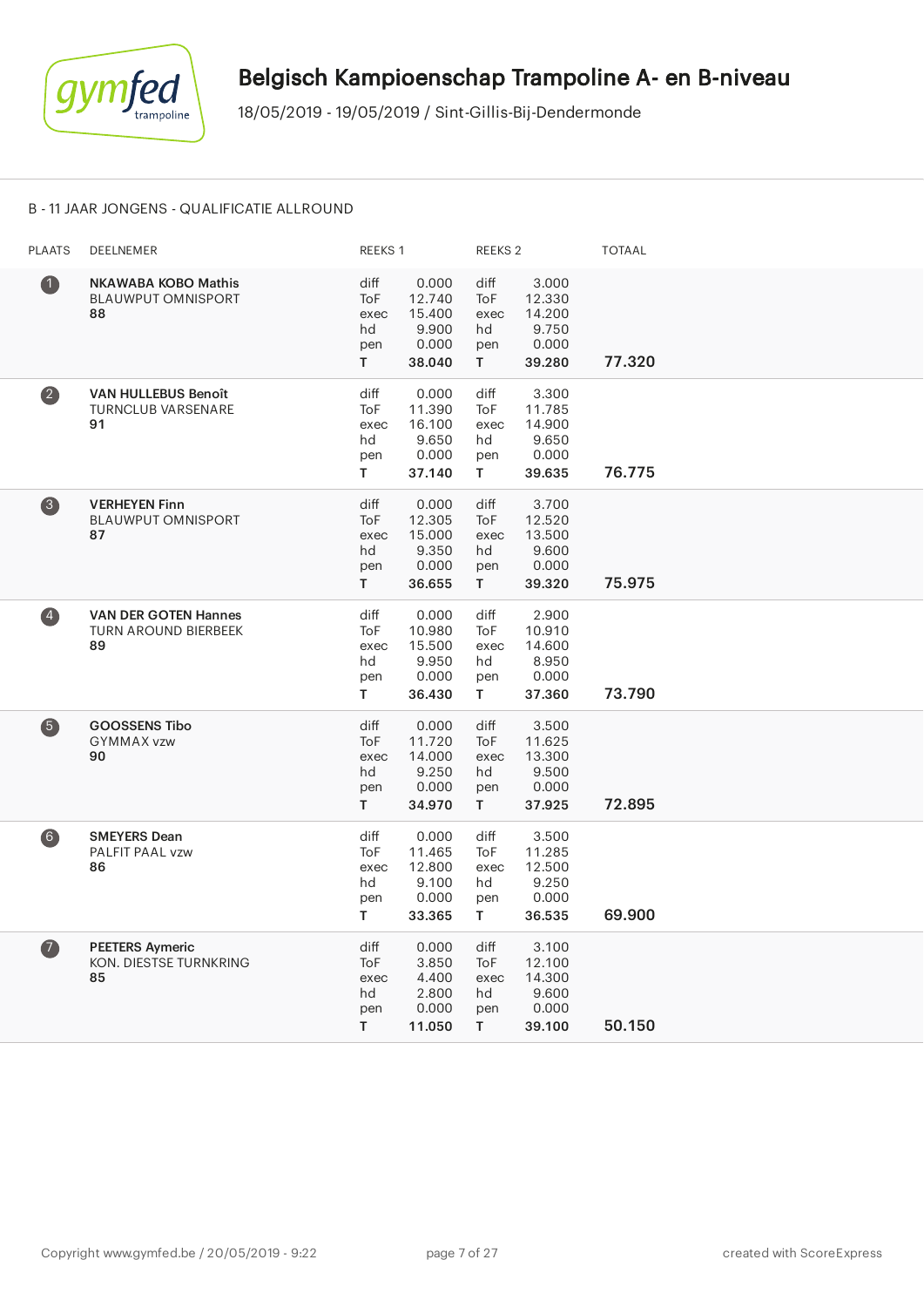

#### B - 11 JAAR JONGENS - QUALIFICATIE ALLROUND

| <b>PLAATS</b>           | DEELNEMER                                                        | REEKS 1                                       |                                                       | REEKS <sub>2</sub>                            |                                                       | <b>TOTAAL</b> |
|-------------------------|------------------------------------------------------------------|-----------------------------------------------|-------------------------------------------------------|-----------------------------------------------|-------------------------------------------------------|---------------|
| $\bf{1}$                | <b>NKAWABA KOBO Mathis</b><br><b>BLAUWPUT OMNISPORT</b><br>88    | diff<br>ToF<br>exec<br>hd<br>pen<br>T.        | 0.000<br>12.740<br>15.400<br>9.900<br>0.000<br>38.040 | diff<br><b>ToF</b><br>exec<br>hd<br>pen<br>T. | 3.000<br>12.330<br>14.200<br>9.750<br>0.000<br>39.280 | 77.320        |
| $\overline{\mathbf{2}}$ | <b>VAN HULLEBUS Benoît</b><br><b>TURNCLUB VARSENARE</b><br>91    | diff<br>ToF<br>exec<br>hd<br>pen<br>T.        | 0.000<br>11.390<br>16.100<br>9.650<br>0.000<br>37.140 | diff<br><b>ToF</b><br>exec<br>hd<br>pen<br>T. | 3.300<br>11.785<br>14.900<br>9.650<br>0.000<br>39.635 | 76.775        |
| $\bullet$               | <b>VERHEYEN Finn</b><br><b>BLAUWPUT OMNISPORT</b><br>87          | diff<br>ToF<br>exec<br>hd<br>pen<br>T.        | 0.000<br>12.305<br>15.000<br>9.350<br>0.000<br>36.655 | diff<br>ToF<br>exec<br>hd<br>pen<br>T.        | 3.700<br>12.520<br>13.500<br>9.600<br>0.000<br>39.320 | 75.975        |
| $\left( 4\right)$       | <b>VAN DER GOTEN Hannes</b><br><b>TURN AROUND BIERBEEK</b><br>89 | diff<br><b>ToF</b><br>exec<br>hd<br>pen<br>T. | 0.000<br>10.980<br>15.500<br>9.950<br>0.000<br>36.430 | diff<br><b>ToF</b><br>exec<br>hd<br>pen<br>T. | 2.900<br>10.910<br>14.600<br>8.950<br>0.000<br>37.360 | 73.790        |
| $\bullet$               | <b>GOOSSENS Tibo</b><br>GYMMAX vzw<br>90                         | diff<br>ToF<br>exec<br>hd<br>pen<br>T.        | 0.000<br>11.720<br>14.000<br>9.250<br>0.000<br>34.970 | diff<br><b>ToF</b><br>exec<br>hd<br>pen<br>T. | 3.500<br>11.625<br>13.300<br>9.500<br>0.000<br>37.925 | 72.895        |
| $6$                     | <b>SMEYERS Dean</b><br>PALFIT PAAL vzw<br>86                     | diff<br>ToF<br>exec<br>hd<br>pen<br>T.        | 0.000<br>11.465<br>12.800<br>9.100<br>0.000<br>33.365 | diff<br>ToF<br>exec<br>hd<br>pen<br>T.        | 3.500<br>11.285<br>12.500<br>9.250<br>0.000<br>36.535 | 69.900        |
| $\bullet$               | <b>PEETERS Aymeric</b><br>KON. DIESTSE TURNKRING<br>85           | diff<br>ToF<br>exec<br>hd<br>pen<br>T.        | 0.000<br>3.850<br>4.400<br>2.800<br>0.000<br>11.050   | diff<br>ToF<br>exec<br>hd<br>pen<br>T.        | 3.100<br>12.100<br>14.300<br>9.600<br>0.000<br>39.100 | 50.150        |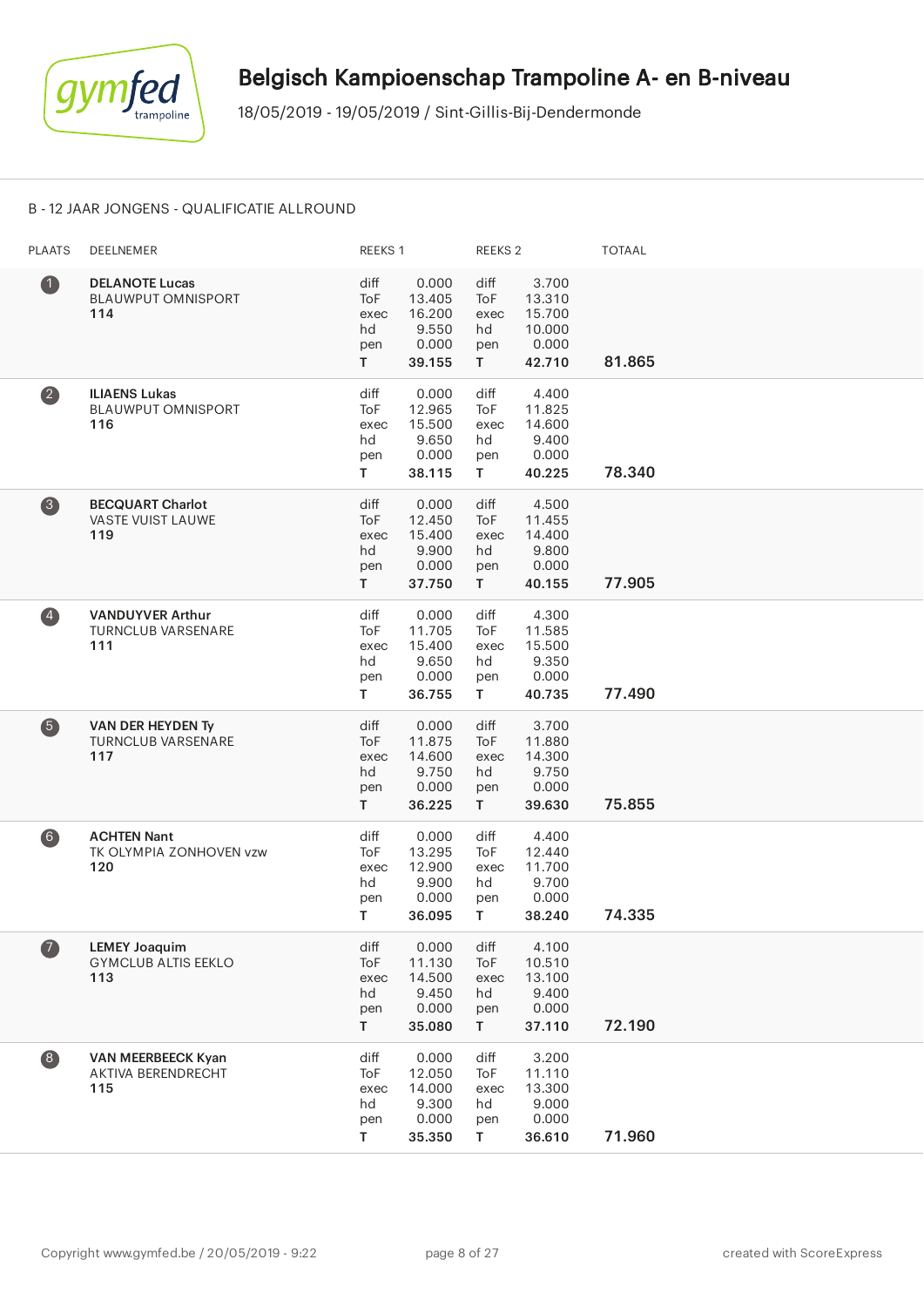

#### B - 12 JAAR JONGENS - QUALIFICATIE ALLROUND

| <b>PLAATS</b>      | <b>DEELNEMER</b>                                            | REEKS 1                                |                                                       | REEKS <sub>2</sub>                              |                                                        | <b>TOTAAL</b> |
|--------------------|-------------------------------------------------------------|----------------------------------------|-------------------------------------------------------|-------------------------------------------------|--------------------------------------------------------|---------------|
| $\bullet$          | <b>DELANOTE Lucas</b><br><b>BLAUWPUT OMNISPORT</b><br>114   | diff<br>ToF<br>exec<br>hd<br>pen<br>T. | 0.000<br>13.405<br>16.200<br>9.550<br>0.000<br>39.155 | diff<br>ToF<br>exec<br>hd<br>pen<br>T.          | 3.700<br>13.310<br>15.700<br>10.000<br>0.000<br>42.710 | 81.865        |
| $\left( 2\right)$  | <b>ILIAENS Lukas</b><br><b>BLAUWPUT OMNISPORT</b><br>116    | diff<br>ToF<br>exec<br>hd<br>pen<br>T  | 0.000<br>12.965<br>15.500<br>9.650<br>0.000<br>38.115 | diff<br>ToF<br>exec<br>hd<br>pen<br>$\mathsf T$ | 4.400<br>11.825<br>14.600<br>9.400<br>0.000<br>40.225  | 78.340        |
| $\left( 3 \right)$ | <b>BECQUART Charlot</b><br>VASTE VUIST LAUWE<br>119         | diff<br>ToF<br>exec<br>hd<br>pen<br>T. | 0.000<br>12.450<br>15.400<br>9.900<br>0.000<br>37.750 | diff<br>ToF<br>exec<br>hd<br>pen<br>T.          | 4.500<br>11.455<br>14.400<br>9.800<br>0.000<br>40.155  | 77.905        |
| $\left( 4\right)$  | <b>VANDUYVER Arthur</b><br><b>TURNCLUB VARSENARE</b><br>111 | diff<br>ToF<br>exec<br>hd<br>pen<br>T. | 0.000<br>11.705<br>15.400<br>9.650<br>0.000<br>36.755 | diff<br>ToF<br>exec<br>hd<br>pen<br>T.          | 4.300<br>11.585<br>15.500<br>9.350<br>0.000<br>40.735  | 77.490        |
| 6                  | VAN DER HEYDEN Ty<br><b>TURNCLUB VARSENARE</b><br>117       | diff<br>ToF<br>exec<br>hd<br>pen<br>T. | 0.000<br>11.875<br>14.600<br>9.750<br>0.000<br>36.225 | diff<br><b>ToF</b><br>exec<br>hd<br>pen<br>T.   | 3.700<br>11.880<br>14.300<br>9.750<br>0.000<br>39.630  | 75.855        |
| 6)                 | <b>ACHTEN Nant</b><br>TK OLYMPIA ZONHOVEN vzw<br>120        | diff<br>ToF<br>exec<br>hd<br>pen<br>T. | 0.000<br>13.295<br>12.900<br>9.900<br>0.000<br>36.095 | diff<br>ToF<br>exec<br>hd<br>pen<br>T.          | 4.400<br>12.440<br>11.700<br>9.700<br>0.000<br>38.240  | 74.335        |
| $\bullet$          | <b>LEMEY Joaquim</b><br><b>GYMCLUB ALTIS EEKLO</b><br>113   | diff<br>ToF<br>exec<br>hd<br>pen<br>T  | 0.000<br>11.130<br>14.500<br>9.450<br>0.000<br>35.080 | diff<br>ToF<br>exec<br>hd<br>pen<br>T.          | 4.100<br>10.510<br>13.100<br>9.400<br>0.000<br>37.110  | 72.190        |
| $\left( 8\right)$  | VAN MEERBEECK Kyan<br><b>AKTIVA BERENDRECHT</b><br>115      | diff<br>ToF<br>exec<br>hd<br>pen<br>T. | 0.000<br>12.050<br>14.000<br>9.300<br>0.000<br>35.350 | diff<br>ToF<br>exec<br>hd<br>pen<br>T.          | 3.200<br>11.110<br>13.300<br>9.000<br>0.000<br>36.610  | 71.960        |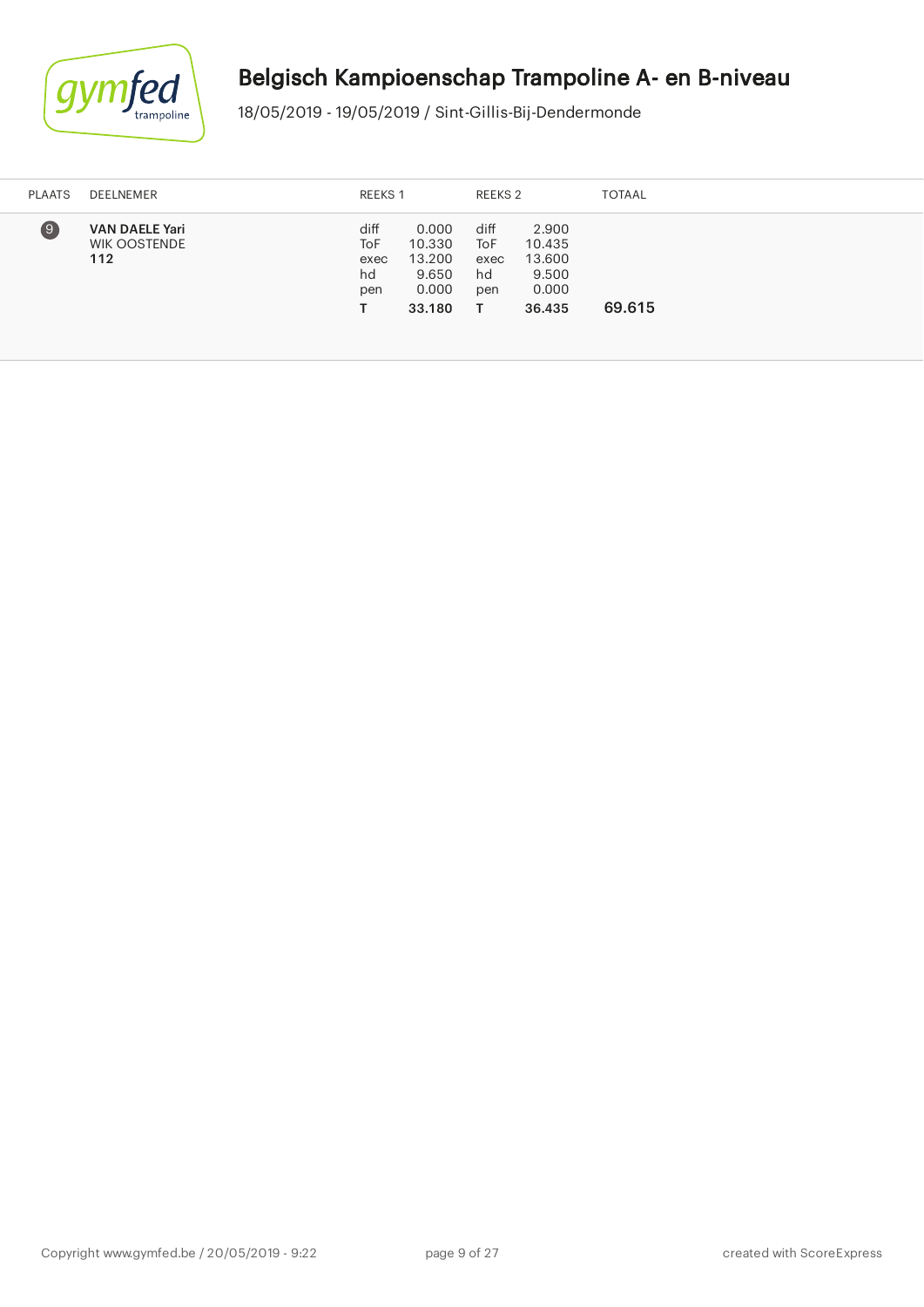

| <b>PLAATS</b> | DEELNEMER                                           | REEKS 1                          |                                                       | REEKS 2                          |                                                       | <b>TOTAAL</b> |
|---------------|-----------------------------------------------------|----------------------------------|-------------------------------------------------------|----------------------------------|-------------------------------------------------------|---------------|
| $\Theta$      | <b>VAN DAELE Yari</b><br><b>WIK OOSTENDE</b><br>112 | diff<br>ToF<br>exec<br>hd<br>pen | 0.000<br>10.330<br>13.200<br>9.650<br>0.000<br>33.180 | diff<br>ToF<br>exec<br>hd<br>pen | 2.900<br>10.435<br>13.600<br>9.500<br>0.000<br>36.435 | 69.615        |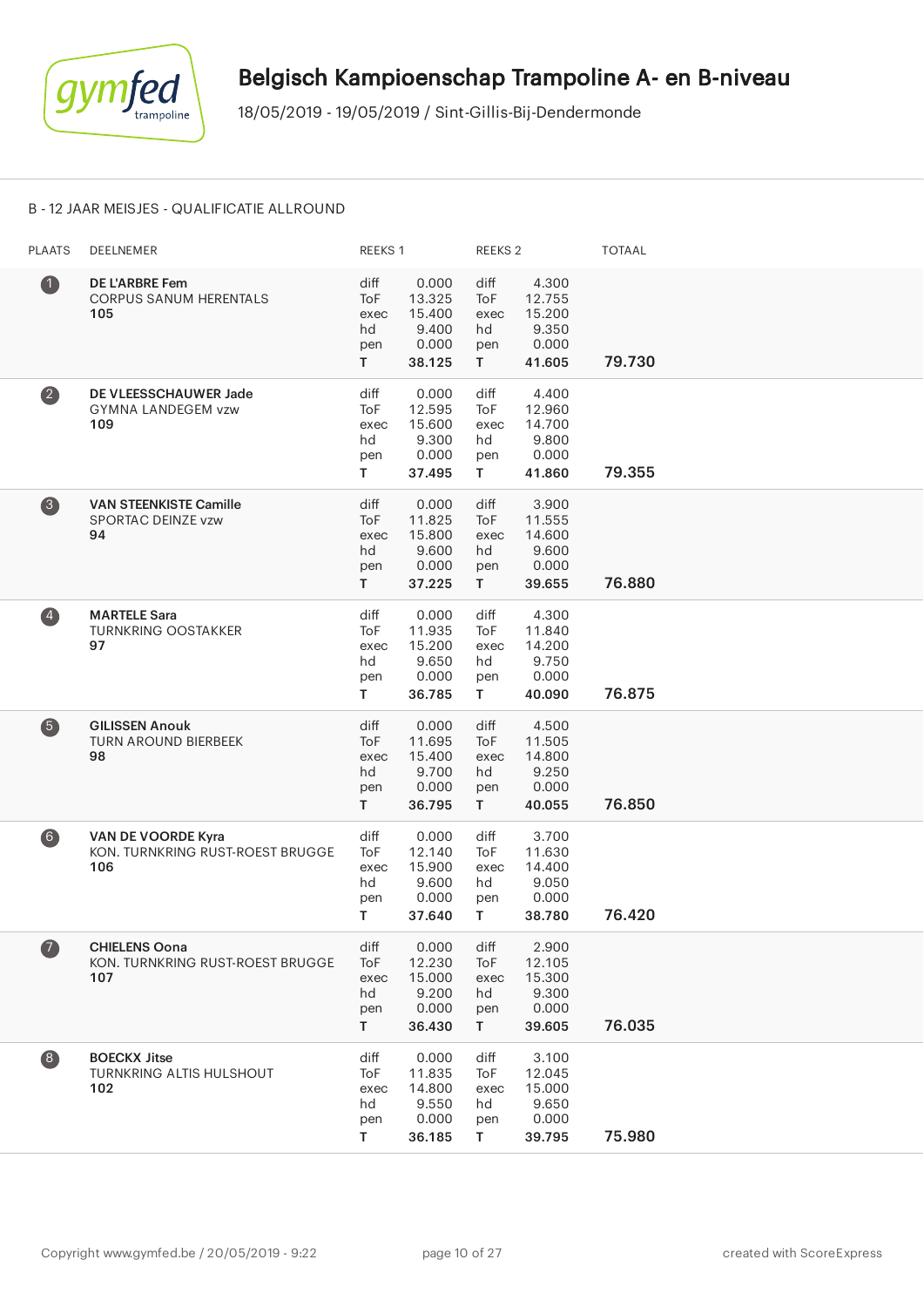

#### B - 12 JAAR MEISJES - QUALIFICATIE ALLROUND

| <b>PLAATS</b>      | DEELNEMER                                                       | REEKS 1                                |                                                       | REEKS <sub>2</sub>                              |                                                       | <b>TOTAAL</b> |
|--------------------|-----------------------------------------------------------------|----------------------------------------|-------------------------------------------------------|-------------------------------------------------|-------------------------------------------------------|---------------|
| $\bullet$          | <b>DE L'ARBRE Fem</b><br><b>CORPUS SANUM HERENTALS</b><br>105   | diff<br>ToF<br>exec<br>hd<br>pen<br>T. | 0.000<br>13.325<br>15.400<br>9.400<br>0.000<br>38.125 | diff<br>ToF<br>exec<br>hd<br>pen<br>T.          | 4.300<br>12.755<br>15.200<br>9.350<br>0.000<br>41.605 | 79.730        |
| $\left( 2\right)$  | DE VLEESSCHAUWER Jade<br>GYMNA LANDEGEM vzw<br>109              | diff<br>ToF<br>exec<br>hd<br>pen<br>T. | 0.000<br>12.595<br>15.600<br>9.300<br>0.000<br>37.495 | diff<br>ToF<br>exec<br>hd<br>pen<br>T.          | 4.400<br>12.960<br>14.700<br>9.800<br>0.000<br>41.860 | 79.355        |
| $\left( 3 \right)$ | <b>VAN STEENKISTE Camille</b><br>SPORTAC DEINZE vzw<br>94       | diff<br>ToF<br>exec<br>hd<br>pen<br>T. | 0.000<br>11.825<br>15.800<br>9.600<br>0.000<br>37.225 | diff<br>ToF<br>exec<br>hd<br>pen<br>$\mathsf T$ | 3.900<br>11.555<br>14.600<br>9.600<br>0.000<br>39.655 | 76.880        |
| $\left( 4\right)$  | <b>MARTELE Sara</b><br><b>TURNKRING OOSTAKKER</b><br>97         | diff<br>ToF<br>exec<br>hd<br>pen<br>T. | 0.000<br>11.935<br>15.200<br>9.650<br>0.000<br>36.785 | diff<br>ToF<br>exec<br>hd<br>pen<br>T.          | 4.300<br>11.840<br>14.200<br>9.750<br>0.000<br>40.090 | 76.875        |
| 6                  | <b>GILISSEN Anouk</b><br><b>TURN AROUND BIERBEEK</b><br>98      | diff<br>ToF<br>exec<br>hd<br>pen<br>T. | 0.000<br>11.695<br>15.400<br>9.700<br>0.000<br>36.795 | diff<br>ToF<br>exec<br>hd<br>pen<br>T.          | 4.500<br>11.505<br>14.800<br>9.250<br>0.000<br>40.055 | 76.850        |
| 6)                 | VAN DE VOORDE Kyra<br>KON. TURNKRING RUST-ROEST BRUGGE<br>106   | diff<br>ToF<br>exec<br>hd<br>pen<br>T. | 0.000<br>12.140<br>15.900<br>9.600<br>0.000<br>37.640 | diff<br>ToF<br>exec<br>hd<br>pen<br>T.          | 3.700<br>11.630<br>14.400<br>9.050<br>0.000<br>38.780 | 76.420        |
| $\left( 7\right)$  | <b>CHIELENS Oona</b><br>KON. TURNKRING RUST-ROEST BRUGGE<br>107 | diff<br>ToF<br>exec<br>hd<br>pen<br>T. | 0.000<br>12.230<br>15.000<br>9.200<br>0.000<br>36.430 | diff<br>ToF<br>exec<br>hd<br>pen<br>T.          | 2.900<br>12.105<br>15.300<br>9.300<br>0.000<br>39.605 | 76.035        |
| $\left( 8\right)$  | <b>BOECKX Jitse</b><br><b>TURNKRING ALTIS HULSHOUT</b><br>102   | diff<br>ToF<br>exec<br>hd<br>pen<br>T  | 0.000<br>11.835<br>14.800<br>9.550<br>0.000<br>36.185 | diff<br>ToF<br>exec<br>hd<br>pen<br>T.          | 3.100<br>12.045<br>15.000<br>9.650<br>0.000<br>39.795 | 75.980        |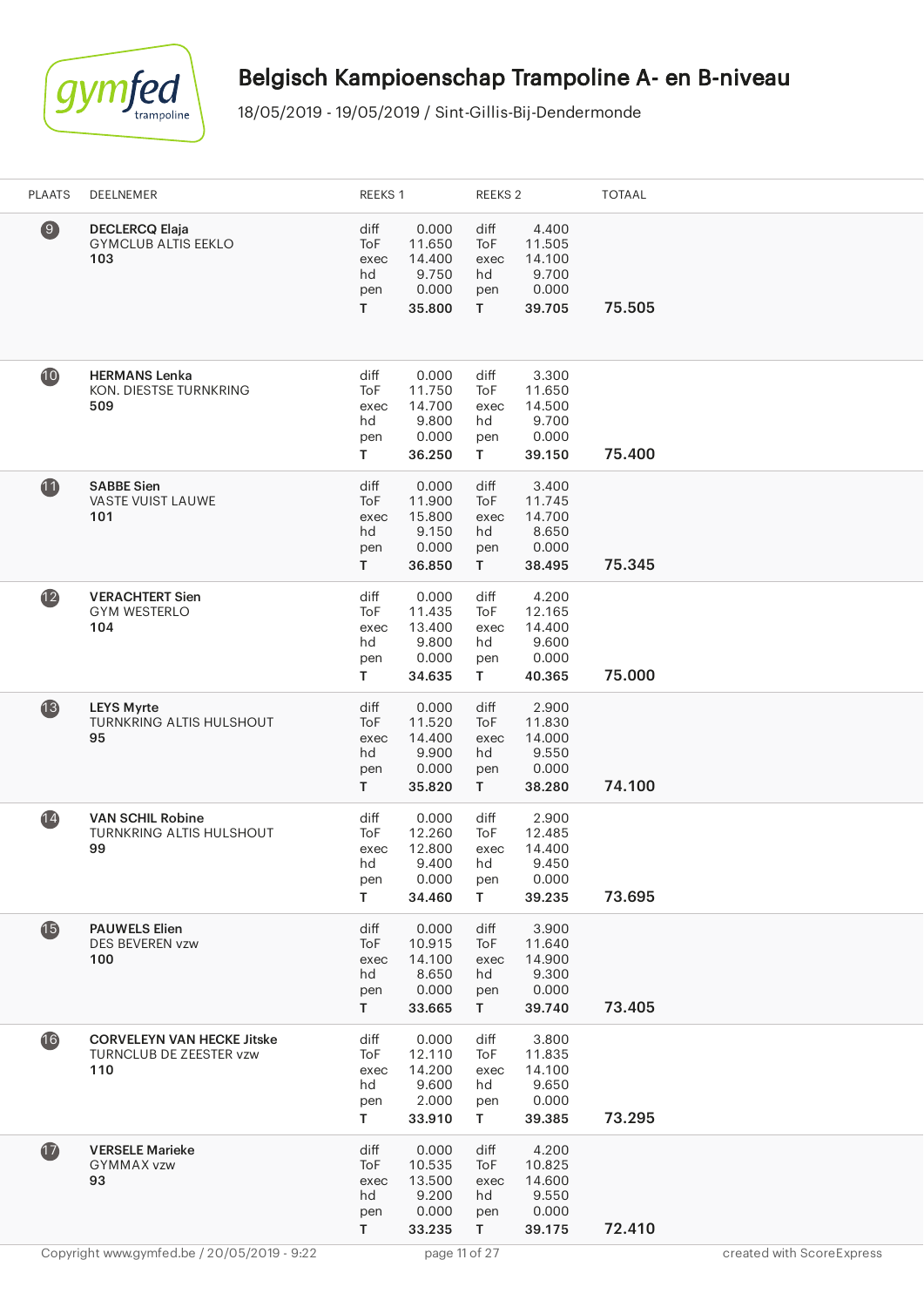

| <b>PLAATS</b> | DEELNEMER                                                           | REEKS 1                                          |                                                       | REEKS <sub>2</sub>                     |                                                       | <b>TOTAAL</b> |                           |
|---------------|---------------------------------------------------------------------|--------------------------------------------------|-------------------------------------------------------|----------------------------------------|-------------------------------------------------------|---------------|---------------------------|
| $\bigcirc$    | <b>DECLERCQ Elaja</b><br><b>GYMCLUB ALTIS EEKLO</b><br>103          | diff<br>ToF<br>exec<br>hd<br>pen<br>T.           | 0.000<br>11.650<br>14.400<br>9.750<br>0.000<br>35.800 | diff<br>ToF<br>exec<br>hd<br>pen<br>T. | 4.400<br>11.505<br>14.100<br>9.700<br>0.000<br>39.705 | 75.505        |                           |
| 10            | <b>HERMANS Lenka</b><br>KON. DIESTSE TURNKRING<br>509               | diff<br>ToF<br>exec<br>hd<br>pen<br>T.           | 0.000<br>11.750<br>14.700<br>9.800<br>0.000<br>36.250 | diff<br>ToF<br>exec<br>hd<br>pen<br>T  | 3.300<br>11.650<br>14.500<br>9.700<br>0.000<br>39.150 | 75.400        |                           |
| 1             | <b>SABBE Sien</b><br>VASTE VUIST LAUWE<br>101                       | diff<br><b>ToF</b><br>exec<br>hd<br>pen<br>T.    | 0.000<br>11.900<br>15.800<br>9.150<br>0.000<br>36.850 | diff<br>ToF<br>exec<br>hd<br>pen<br>T. | 3.400<br>11.745<br>14.700<br>8.650<br>0.000<br>38.495 | 75.345        |                           |
| $\mathbf{12}$ | <b>VERACHTERT Sien</b><br><b>GYM WESTERLO</b><br>104                | diff<br>ToF<br>exec<br>hd<br>pen<br>T.           | 0.000<br>11.435<br>13.400<br>9.800<br>0.000<br>34.635 | diff<br>ToF<br>exec<br>hd<br>pen<br>T. | 4.200<br>12.165<br>14.400<br>9.600<br>0.000<br>40.365 | 75.000        |                           |
| 13            | <b>LEYS Myrte</b><br>TURNKRING ALTIS HULSHOUT<br>95                 | diff<br>ToF<br>exec<br>hd<br>pen<br>$\mathsf{T}$ | 0.000<br>11.520<br>14.400<br>9.900<br>0.000<br>35.820 | diff<br>ToF<br>exec<br>hd<br>pen<br>T. | 2.900<br>11.830<br>14.000<br>9.550<br>0.000<br>38.280 | 74.100        |                           |
| (14)          | <b>VAN SCHIL Robine</b><br><b>TURNKRING ALTIS HULSHOUT</b><br>99    | diff<br>ToF<br>exec<br>hd<br>pen<br>T.           | 0.000<br>12.260<br>12.800<br>9.400<br>0.000<br>34.460 | diff<br>ToF<br>exec<br>hd<br>pen<br>T. | 2.900<br>12.485<br>14.400<br>9.450<br>0.000<br>39.235 | 73.695        |                           |
| $\bf \Phi$    | <b>PAUWELS Elien</b><br><b>DES BEVEREN vzw</b><br>100               | diff<br>ToF<br>exec<br>hd<br>pen<br>T.           | 0.000<br>10.915<br>14.100<br>8.650<br>0.000<br>33.665 | diff<br>ToF<br>exec<br>hd<br>pen<br>T. | 3.900<br>11.640<br>14.900<br>9.300<br>0.000<br>39.740 | 73.405        |                           |
| 16            | <b>CORVELEYN VAN HECKE Jitske</b><br>TURNCLUB DE ZEESTER vzw<br>110 | diff<br>ToF<br>exec<br>hd<br>pen<br>T.           | 0.000<br>12.110<br>14.200<br>9.600<br>2.000<br>33.910 | diff<br>ToF<br>exec<br>hd<br>pen<br>T  | 3.800<br>11.835<br>14.100<br>9.650<br>0.000<br>39.385 | 73.295        |                           |
| $\bf{D}$      | <b>VERSELE Marieke</b><br><b>GYMMAX vzw</b><br>93                   | diff<br>ToF<br>exec<br>hd<br>pen<br>T.           | 0.000<br>10.535<br>13.500<br>9.200<br>0.000<br>33.235 | diff<br>ToF<br>exec<br>hd<br>pen<br>T  | 4.200<br>10.825<br>14.600<br>9.550<br>0.000<br>39.175 | 72.410        |                           |
|               | Copyright www.gymfed.be / 20/05/2019 - 9:22                         |                                                  | page 11 of 27                                         |                                        |                                                       |               | created with ScoreExpress |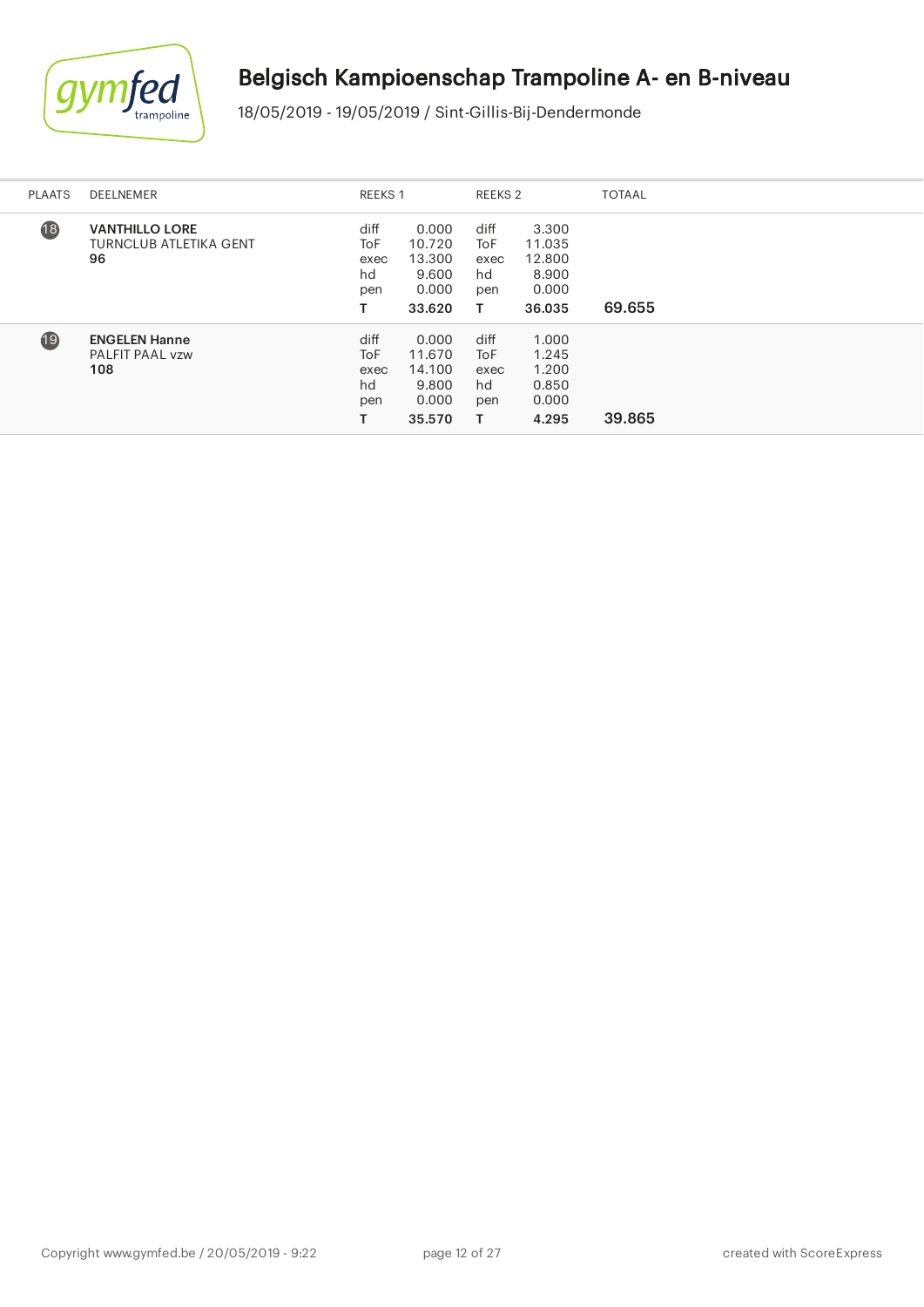

i.

# Belgisch Kampioenschap Trampoline A- en B-niveau

| <b>PLAATS</b>   | <b>DEELNEMER</b>                                             | <b>REEKS 1</b>                   |                                                       | REEKS 2                               |                                                       | <b>TOTAAL</b> |
|-----------------|--------------------------------------------------------------|----------------------------------|-------------------------------------------------------|---------------------------------------|-------------------------------------------------------|---------------|
| $\overline{18}$ | <b>VANTHILLO LORE</b><br><b>TURNCLUB ATLETIKA GENT</b><br>96 | diff<br>ToF<br>exec<br>hd<br>pen | 0.000<br>10.720<br>13.300<br>9.600<br>0.000<br>33.620 | diff<br>ToF<br>exec<br>hd<br>pen<br>т | 3.300<br>11.035<br>12,800<br>8.900<br>0.000<br>36.035 | 69.655        |
| 19              | <b>ENGELEN Hanne</b><br>PALFIT PAAL vzw<br>108               | diff<br>ToF<br>exec<br>hd<br>pen | 0.000<br>11.670<br>14.100<br>9.800<br>0.000<br>35.570 | diff<br>ToF<br>exec<br>hd<br>pen<br>т | 1.000<br>1.245<br>1.200<br>0.850<br>0.000<br>4.295    | 39.865        |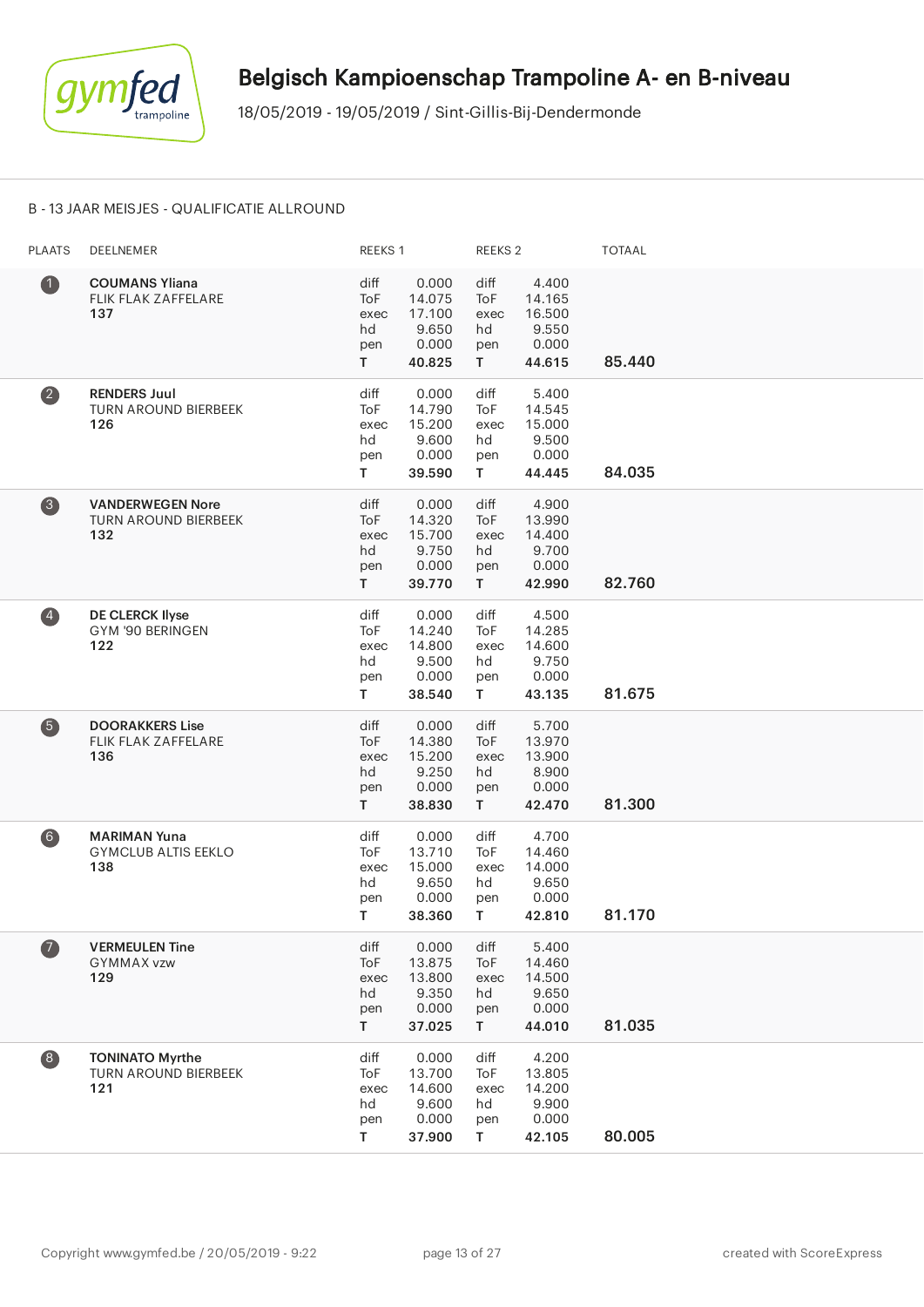

#### B - 13 JAAR MEISJES - QUALIFICATIE ALLROUND

| <b>PLAATS</b>                           | <b>DEELNEMER</b>                                              | REEKS 1                                |                                                       | <b>REEKS 2</b>                                  |                                                       | <b>TOTAAL</b> |
|-----------------------------------------|---------------------------------------------------------------|----------------------------------------|-------------------------------------------------------|-------------------------------------------------|-------------------------------------------------------|---------------|
| $\bullet$                               | <b>COUMANS Yliana</b><br><b>FLIK FLAK ZAFFELARE</b><br>137    | diff<br>ToF<br>exec<br>hd<br>pen<br>T. | 0.000<br>14.075<br>17.100<br>9.650<br>0.000<br>40.825 | diff<br><b>ToF</b><br>exec<br>hd<br>pen<br>T.   | 4.400<br>14.165<br>16.500<br>9.550<br>0.000<br>44.615 | 85.440        |
| $\overline{\mathbf{2}}$                 | <b>RENDERS Juul</b><br><b>TURN AROUND BIERBEEK</b><br>126     | diff<br>ToF<br>exec<br>hd<br>pen<br>T  | 0.000<br>14.790<br>15.200<br>9.600<br>0.000<br>39.590 | diff<br>ToF<br>exec<br>hd<br>pen<br>$\mathsf T$ | 5.400<br>14.545<br>15.000<br>9.500<br>0.000<br>44.445 | 84.035        |
| $\left( 3 \right)$                      | <b>VANDERWEGEN Nore</b><br><b>TURN AROUND BIERBEEK</b><br>132 | diff<br>ToF<br>exec<br>hd<br>pen<br>T. | 0.000<br>14.320<br>15.700<br>9.750<br>0.000<br>39.770 | diff<br>ToF<br>exec<br>hd<br>pen<br>$\mathsf T$ | 4.900<br>13.990<br>14.400<br>9.700<br>0.000<br>42.990 | 82.760        |
| $\left( 4\right)$                       | <b>DE CLERCK Ilyse</b><br>GYM '90 BERINGEN<br>122             | diff<br>ToF<br>exec<br>hd<br>pen<br>T. | 0.000<br>14.240<br>14.800<br>9.500<br>0.000<br>38.540 | diff<br>ToF<br>exec<br>hd<br>pen<br>T.          | 4.500<br>14.285<br>14.600<br>9.750<br>0.000<br>43.135 | 81.675        |
| 6                                       | <b>DOORAKKERS Lise</b><br>FLIK FLAK ZAFFELARE<br>136          | diff<br>ToF<br>exec<br>hd<br>pen<br>T. | 0.000<br>14.380<br>15.200<br>9.250<br>0.000<br>38.830 | diff<br><b>ToF</b><br>exec<br>hd<br>pen<br>T.   | 5.700<br>13.970<br>13.900<br>8.900<br>0.000<br>42.470 | 81.300        |
| 6)                                      | <b>MARIMAN Yuna</b><br><b>GYMCLUB ALTIS EEKLO</b><br>138      | diff<br>ToF<br>exec<br>hd<br>pen<br>T. | 0.000<br>13.710<br>15.000<br>9.650<br>0.000<br>38.360 | diff<br>ToF<br>exec<br>hd<br>pen<br>T.          | 4.700<br>14.460<br>14.000<br>9.650<br>0.000<br>42.810 | 81.170        |
| $\boldsymbol{a}$                        | <b>VERMEULEN Tine</b><br><b>GYMMAX vzw</b><br>129             | diff<br>ToF<br>exec<br>hd<br>pen<br>T. | 0.000<br>13.875<br>13.800<br>9.350<br>0.000<br>37.025 | diff<br>ToF<br>exec<br>hd<br>pen<br>T.          | 5.400<br>14.460<br>14.500<br>9.650<br>0.000<br>44.010 | 81.035        |
| $\begin{array}{c} \hline 8 \end{array}$ | <b>TONINATO Myrthe</b><br><b>TURN AROUND BIERBEEK</b><br>121  | diff<br>ToF<br>exec<br>hd<br>pen<br>T. | 0.000<br>13.700<br>14.600<br>9.600<br>0.000<br>37.900 | diff<br>ToF<br>exec<br>hd<br>pen<br>T.          | 4.200<br>13.805<br>14.200<br>9.900<br>0.000<br>42.105 | 80.005        |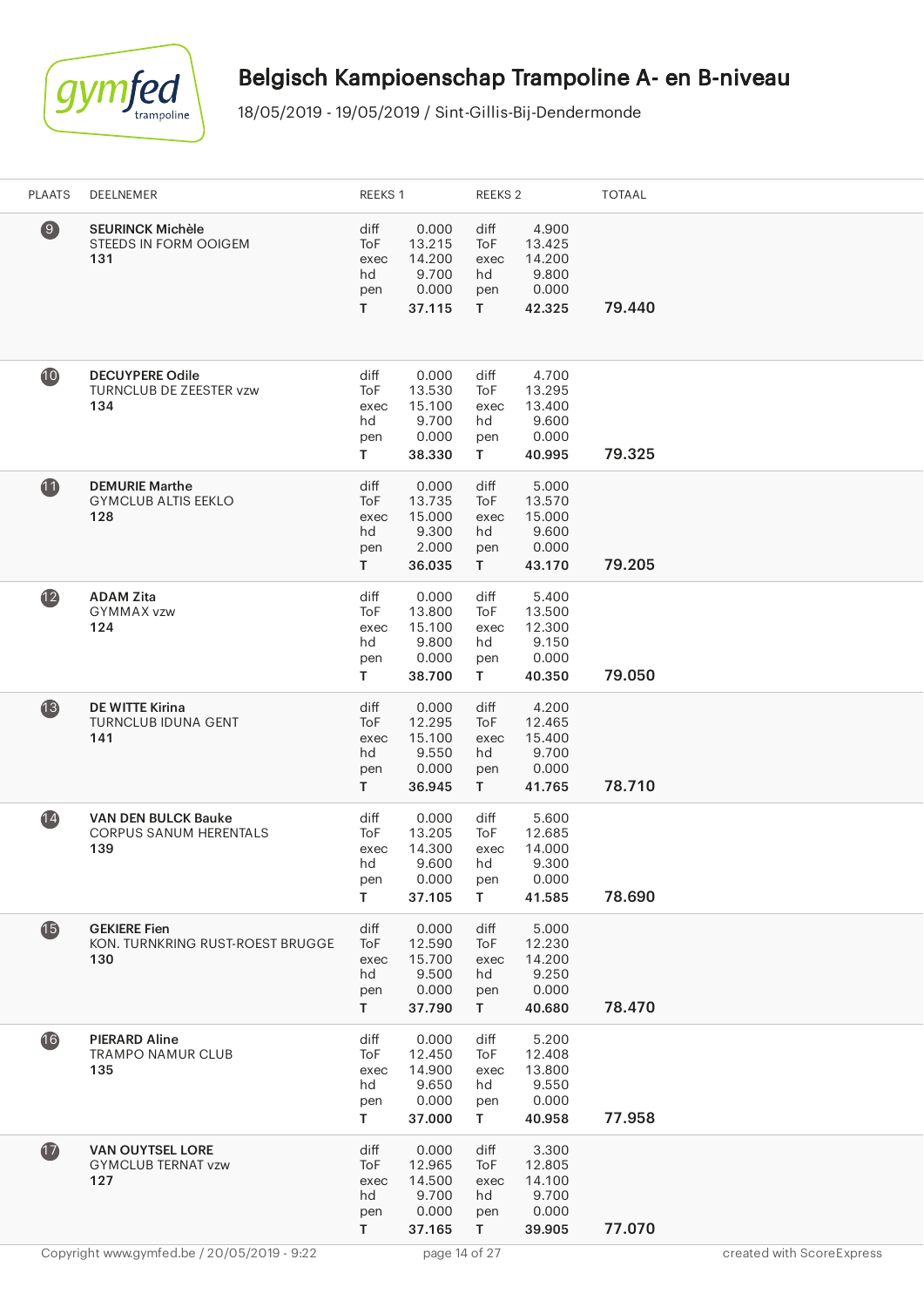

| <b>PLAATS</b>   | DEELNEMER                                                          | REEKS 1                                |                                                       | REEKS 2                                |                                                       | <b>TOTAAL</b> |                           |
|-----------------|--------------------------------------------------------------------|----------------------------------------|-------------------------------------------------------|----------------------------------------|-------------------------------------------------------|---------------|---------------------------|
| $\circledcirc$  | <b>SEURINCK Michèle</b><br>STEEDS IN FORM OOIGEM<br>131            | diff<br>ToF<br>exec<br>hd<br>pen<br>T. | 0.000<br>13.215<br>14.200<br>9.700<br>0.000<br>37.115 | diff<br>ToF<br>exec<br>hd<br>pen<br>T. | 4.900<br>13.425<br>14.200<br>9.800<br>0.000<br>42.325 | 79.440        |                           |
| 10              | <b>DECUYPERE Odile</b><br>TURNCLUB DE ZEESTER vzw<br>134           | diff<br>ToF<br>exec<br>hd<br>pen<br>T. | 0.000<br>13.530<br>15.100<br>9.700<br>0.000<br>38.330 | diff<br>ToF<br>exec<br>hd<br>pen<br>T  | 4.700<br>13.295<br>13.400<br>9.600<br>0.000<br>40.995 | 79.325        |                           |
| $\mathbf{u}$    | <b>DEMURIE Marthe</b><br><b>GYMCLUB ALTIS EEKLO</b><br>128         | diff<br>ToF<br>exec<br>hd<br>pen<br>T  | 0.000<br>13.735<br>15.000<br>9.300<br>2.000<br>36.035 | diff<br>ToF<br>exec<br>hd<br>pen<br>T  | 5.000<br>13.570<br>15.000<br>9.600<br>0.000<br>43.170 | 79.205        |                           |
| $\mathbf{12}$   | <b>ADAM Zita</b><br>GYMMAX vzw<br>124                              | diff<br>ToF<br>exec<br>hd<br>pen<br>T  | 0.000<br>13.800<br>15.100<br>9.800<br>0.000<br>38.700 | diff<br>ToF<br>exec<br>hd<br>pen<br>T  | 5.400<br>13.500<br>12.300<br>9.150<br>0.000<br>40.350 | 79.050        |                           |
| $\mathbf{13}$   | <b>DE WITTE Kirina</b><br><b>TURNCLUB IDUNA GENT</b><br>141        | diff<br>ToF<br>exec<br>hd<br>pen<br>T. | 0.000<br>12.295<br>15.100<br>9.550<br>0.000<br>36.945 | diff<br>ToF<br>exec<br>hd<br>pen<br>T. | 4.200<br>12.465<br>15.400<br>9.700<br>0.000<br>41.765 | 78.710        |                           |
| $\overline{14}$ | <b>VAN DEN BULCK Bauke</b><br><b>CORPUS SANUM HERENTALS</b><br>139 | diff<br>ToF<br>exec<br>hd<br>pen<br>T. | 0.000<br>13.205<br>14.300<br>9.600<br>0.000<br>37.105 | diff<br>ToF<br>exec<br>hd<br>pen<br>T. | 5.600<br>12.685<br>14.000<br>9.300<br>0.000<br>41.585 | 78.690        |                           |
| $\mathbf{G}$    | <b>GEKIERE Fien</b><br>KON. TURNKRING RUST-ROEST BRUGGE<br>130     | diff<br>ToF<br>exec<br>hd<br>pen<br>T. | 0.000<br>12.590<br>15.700<br>9.500<br>0.000<br>37.790 | diff<br>ToF<br>exec<br>hd<br>pen<br>T. | 5.000<br>12.230<br>14.200<br>9.250<br>0.000<br>40.680 | 78.470        |                           |
| 16              | <b>PIERARD Aline</b><br><b>TRAMPO NAMUR CLUB</b><br>135            | diff<br>ToF<br>exec<br>hd<br>pen<br>T. | 0.000<br>12.450<br>14.900<br>9.650<br>0.000<br>37.000 | diff<br>ToF<br>exec<br>hd<br>pen<br>T. | 5.200<br>12.408<br>13.800<br>9.550<br>0.000<br>40.958 | 77.958        |                           |
| $\overline{1}$  | <b>VAN OUYTSEL LORE</b><br><b>GYMCLUB TERNAT vzw</b><br>127        | diff<br>ToF<br>exec<br>hd<br>pen<br>T. | 0.000<br>12.965<br>14.500<br>9.700<br>0.000<br>37.165 | diff<br>ToF<br>exec<br>hd<br>pen<br>T  | 3.300<br>12.805<br>14.100<br>9.700<br>0.000<br>39.905 | 77.070        |                           |
|                 | Copyright www.gymfed.be / 20/05/2019 - 9:22                        |                                        | page 14 of 27                                         |                                        |                                                       |               | created with ScoreExpress |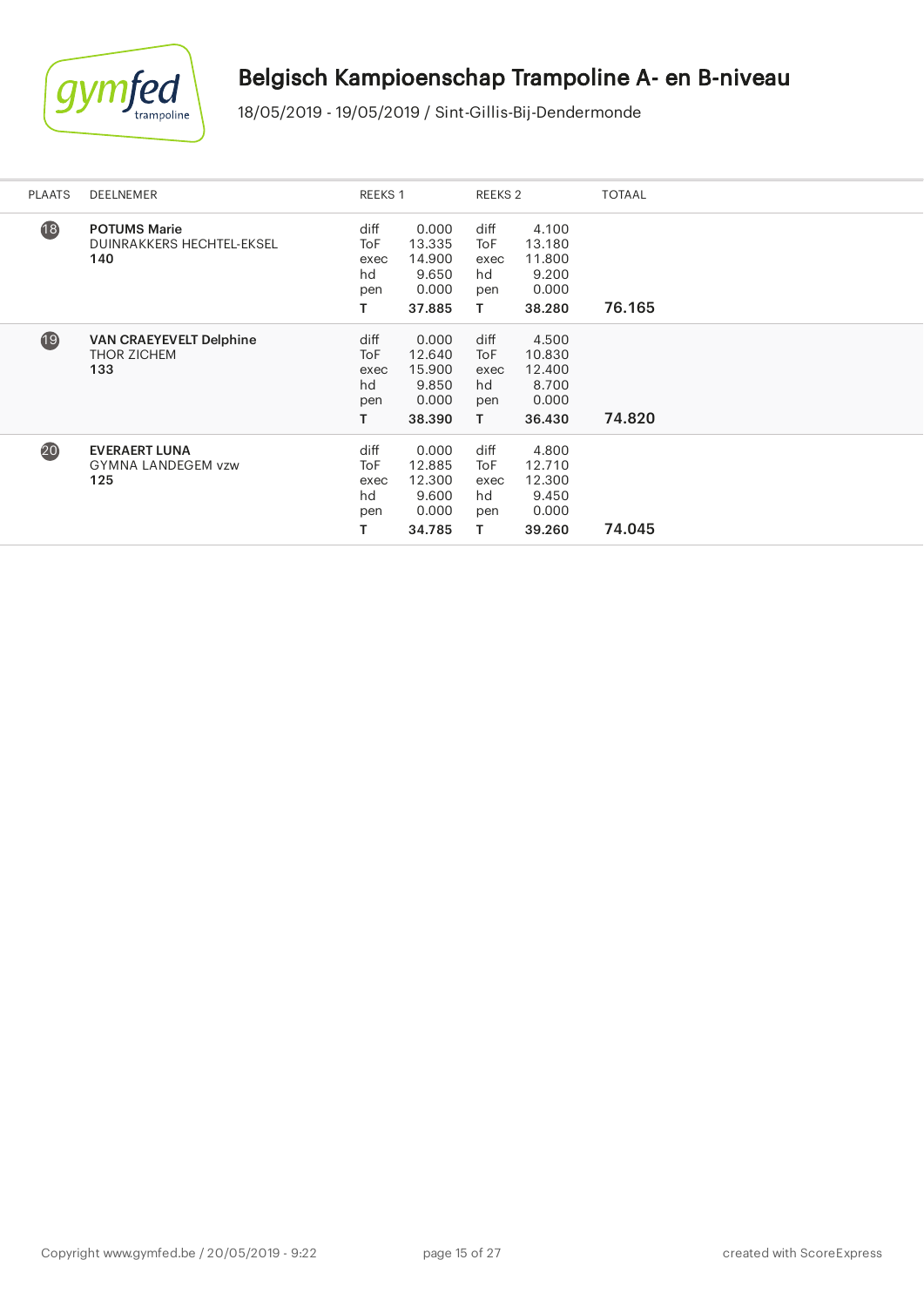

| <b>PLAATS</b> | DEELNEMER                                                   | REEKS 1                                      |                                                       | REEKS <sub>2</sub>                     |                                                       | <b>TOTAAL</b> |
|---------------|-------------------------------------------------------------|----------------------------------------------|-------------------------------------------------------|----------------------------------------|-------------------------------------------------------|---------------|
| 18            | <b>POTUMS Marie</b><br>DUINRAKKERS HECHTEL-EKSEL<br>140     | diff<br><b>ToF</b><br>exec<br>hd<br>pen<br>т | 0.000<br>13.335<br>14.900<br>9.650<br>0.000<br>37.885 | diff<br>ToF<br>exec<br>hd<br>pen<br>Τ  | 4.100<br>13.180<br>11.800<br>9.200<br>0.000<br>38.280 | 76.165        |
| 19            | <b>VAN CRAEYEVELT Delphine</b><br><b>THOR ZICHEM</b><br>133 | diff<br><b>ToF</b><br>exec<br>hd<br>pen<br>т | 0.000<br>12.640<br>15.900<br>9.850<br>0.000<br>38.390 | diff<br>ToF<br>exec<br>hd<br>pen<br>T. | 4.500<br>10.830<br>12.400<br>8.700<br>0.000<br>36.430 | 74.820        |
| 20            | <b>EVERAERT LUNA</b><br><b>GYMNA LANDEGEM vzw</b><br>125    | diff<br><b>ToF</b><br>exec<br>hd<br>pen<br>т | 0.000<br>12.885<br>12.300<br>9.600<br>0.000<br>34.785 | diff<br>ToF<br>exec<br>hd<br>pen<br>т  | 4.800<br>12.710<br>12.300<br>9.450<br>0.000<br>39.260 | 74.045        |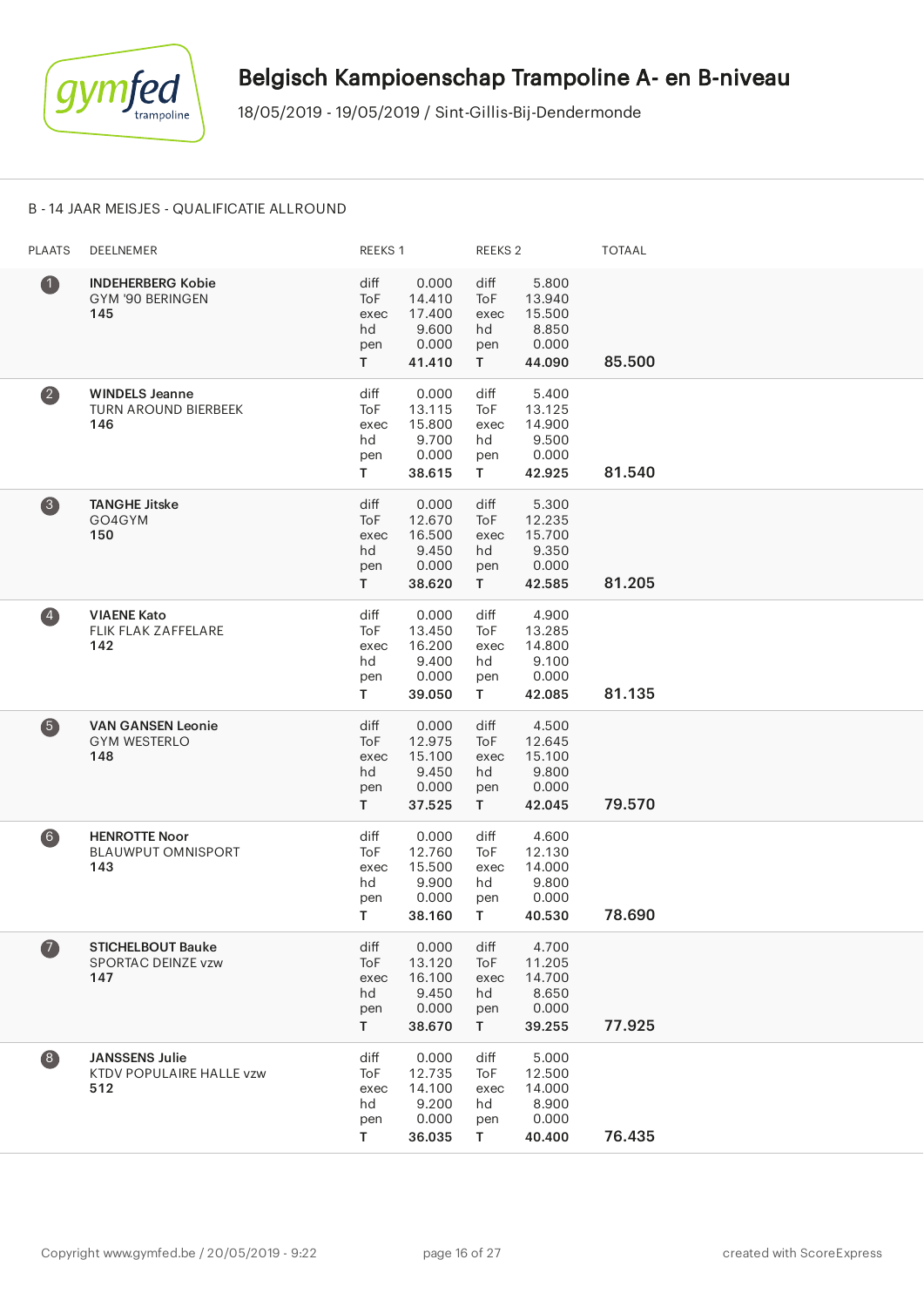

#### B - 14 JAAR MEISJES - QUALIFICATIE ALLROUND

| <b>PLAATS</b>         | DEELNEMER                                                | REEKS 1                                |                                                       | REEKS <sub>2</sub>                     |                                                       | <b>TOTAAL</b> |
|-----------------------|----------------------------------------------------------|----------------------------------------|-------------------------------------------------------|----------------------------------------|-------------------------------------------------------|---------------|
| $\bullet$             | <b>INDEHERBERG Kobie</b><br>GYM '90 BERINGEN<br>145      | diff<br>ToF<br>exec<br>hd<br>pen<br>T  | 0.000<br>14.410<br>17.400<br>9.600<br>0.000<br>41.410 | diff<br>ToF<br>exec<br>hd<br>pen<br>T. | 5.800<br>13.940<br>15.500<br>8.850<br>0.000<br>44.090 | 85.500        |
| $\left( 2\right)$     | <b>WINDELS Jeanne</b><br>TURN AROUND BIERBEEK<br>146     | diff<br>ToF<br>exec<br>hd<br>pen<br>T  | 0.000<br>13.115<br>15.800<br>9.700<br>0.000<br>38.615 | diff<br>ToF<br>exec<br>hd<br>pen<br>T. | 5.400<br>13.125<br>14.900<br>9.500<br>0.000<br>42.925 | 81.540        |
| $\left( 3 \right)$    | <b>TANGHE Jitske</b><br>GO4GYM<br>150                    | diff<br>ToF<br>exec<br>hd<br>pen<br>T. | 0.000<br>12.670<br>16.500<br>9.450<br>0.000<br>38.620 | diff<br>ToF<br>exec<br>hd<br>pen<br>T. | 5.300<br>12.235<br>15.700<br>9.350<br>0.000<br>42.585 | 81.205        |
| $\left( 4\right)$     | <b>VIAENE Kato</b><br>FLIK FLAK ZAFFELARE<br>142         | diff<br>ToF<br>exec<br>hd<br>pen<br>T. | 0.000<br>13.450<br>16.200<br>9.400<br>0.000<br>39.050 | diff<br>ToF<br>exec<br>hd<br>pen<br>T. | 4.900<br>13.285<br>14.800<br>9.100<br>0.000<br>42.085 | 81.135        |
| 6                     | <b>VAN GANSEN Leonie</b><br><b>GYM WESTERLO</b><br>148   | diff<br>ToF<br>exec<br>hd<br>pen<br>T. | 0.000<br>12.975<br>15.100<br>9.450<br>0.000<br>37.525 | diff<br>ToF<br>exec<br>hd<br>pen<br>T. | 4.500<br>12.645<br>15.100<br>9.800<br>0.000<br>42.045 | 79.570        |
| 6)                    | <b>HENROTTE Noor</b><br><b>BLAUWPUT OMNISPORT</b><br>143 | diff<br>ToF<br>exec<br>hd<br>pen<br>Τ  | 0.000<br>12.760<br>15.500<br>9.900<br>0.000<br>38.160 | diff<br>ToF<br>exec<br>hd<br>pen<br>T. | 4.600<br>12.130<br>14.000<br>9.800<br>0.000<br>40.530 | 78.690        |
| $\boldsymbol{\sigma}$ | <b>STICHELBOUT Bauke</b><br>SPORTAC DEINZE vzw<br>147    | diff<br>ToF<br>exec<br>hd<br>pen<br>T. | 0.000<br>13.120<br>16.100<br>9.450<br>0.000<br>38.670 | diff<br>ToF<br>exec<br>hd<br>pen<br>T. | 4.700<br>11.205<br>14.700<br>8.650<br>0.000<br>39.255 | 77.925        |
| $\left( 8\right)$     | <b>JANSSENS Julie</b><br>KTDV POPULAIRE HALLE vzw<br>512 | diff<br>ToF<br>exec<br>hd<br>pen<br>T. | 0.000<br>12.735<br>14.100<br>9.200<br>0.000<br>36.035 | diff<br>ToF<br>exec<br>hd<br>pen<br>T. | 5.000<br>12.500<br>14.000<br>8.900<br>0.000<br>40.400 | 76.435        |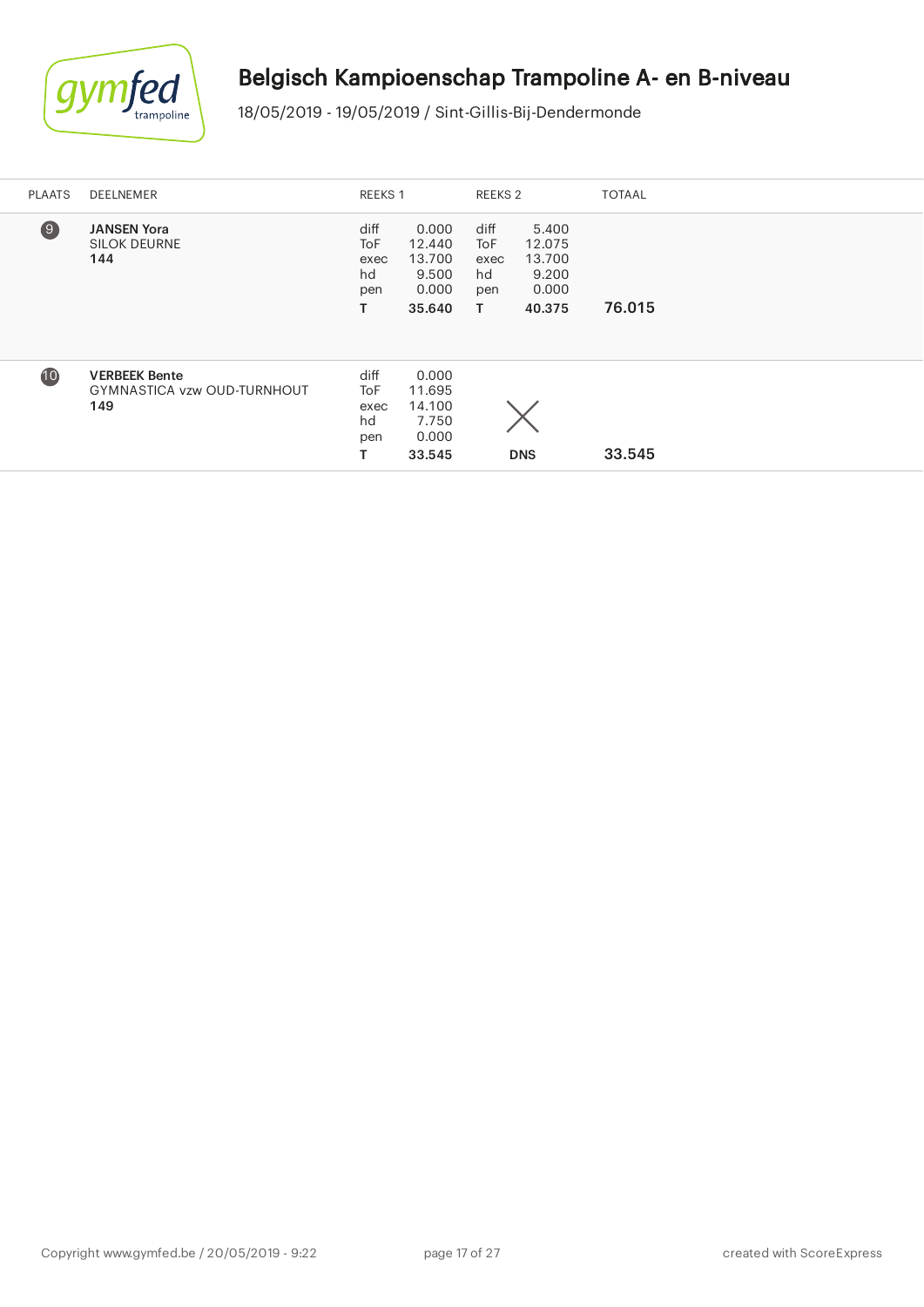

| <b>PLAATS</b>    | <b>DEELNEMER</b>                                                  | REEKS 1                                      |                                                       | REEKS 2                                       |                                                       | <b>TOTAAL</b> |
|------------------|-------------------------------------------------------------------|----------------------------------------------|-------------------------------------------------------|-----------------------------------------------|-------------------------------------------------------|---------------|
| $\left(9\right)$ | <b>JANSEN Yora</b><br><b>SILOK DEURNE</b><br>144                  | diff<br><b>ToF</b><br>exec<br>hd<br>pen<br>т | 0.000<br>12.440<br>13.700<br>9.500<br>0.000<br>35.640 | diff<br><b>ToF</b><br>exec<br>hd<br>pen<br>T. | 5.400<br>12.075<br>13.700<br>9.200<br>0.000<br>40.375 | 76.015        |
| 10               | <b>VERBEEK Bente</b><br><b>GYMNASTICA vzw OUD-TURNHOUT</b><br>149 | diff<br><b>ToF</b><br>exec<br>hd<br>pen<br>т | 0.000<br>11.695<br>14.100<br>7.750<br>0.000<br>33.545 |                                               | <b>DNS</b>                                            | 33.545        |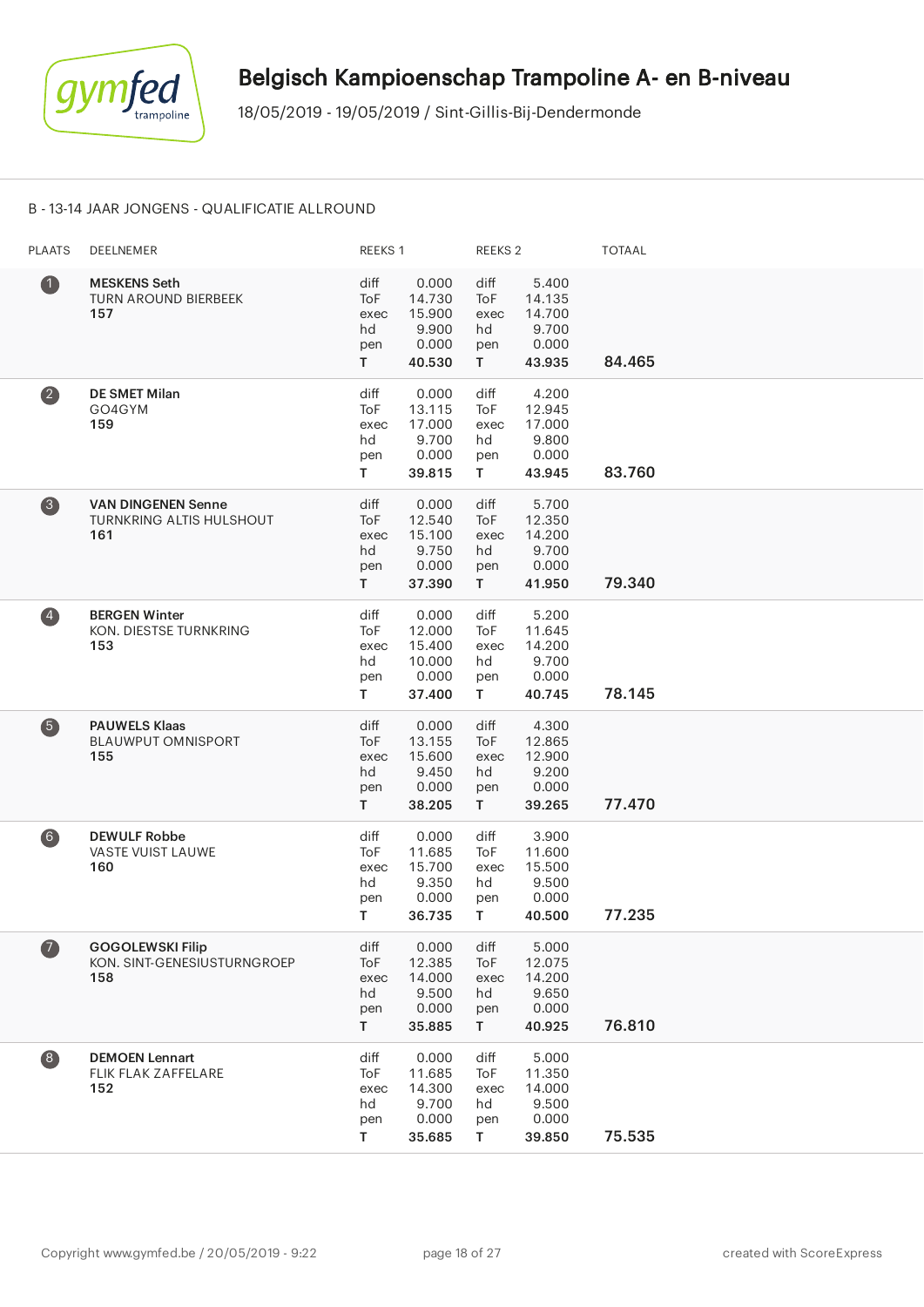

#### B - 13-14 JAAR JONGENS - QUALIFICATIE ALLROUND

| <b>PLAATS</b>           | DEELNEMER                                                           | REEKS 1                                |                                                        | REEKS <sub>2</sub>                     |                                                       | <b>TOTAAL</b> |
|-------------------------|---------------------------------------------------------------------|----------------------------------------|--------------------------------------------------------|----------------------------------------|-------------------------------------------------------|---------------|
| $\bullet$               | <b>MESKENS Seth</b><br>TURN AROUND BIERBEEK<br>157                  | diff<br>ToF<br>exec<br>hd<br>pen<br>T. | 0.000<br>14.730<br>15.900<br>9.900<br>0.000<br>40.530  | diff<br>ToF<br>exec<br>hd<br>pen<br>T. | 5.400<br>14.135<br>14.700<br>9.700<br>0.000<br>43.935 | 84.465        |
| $\left( 2\right)$       | <b>DE SMET Milan</b><br>GO4GYM<br>159                               | diff<br>ToF<br>exec<br>hd<br>pen<br>T. | 0.000<br>13.115<br>17.000<br>9.700<br>0.000<br>39.815  | diff<br>ToF<br>exec<br>hd<br>pen<br>T. | 4.200<br>12.945<br>17.000<br>9.800<br>0.000<br>43.945 | 83.760        |
| 8                       | <b>VAN DINGENEN Senne</b><br><b>TURNKRING ALTIS HULSHOUT</b><br>161 | diff<br>ToF<br>exec<br>hd<br>pen<br>T. | 0.000<br>12.540<br>15.100<br>9.750<br>0.000<br>37.390  | diff<br>ToF<br>exec<br>hd<br>pen<br>T. | 5.700<br>12.350<br>14.200<br>9.700<br>0.000<br>41.950 | 79.340        |
| $\overline{\mathbf{4}}$ | <b>BERGEN Winter</b><br>KON. DIESTSE TURNKRING<br>153               | diff<br>ToF<br>exec<br>hd<br>pen<br>T. | 0.000<br>12.000<br>15.400<br>10.000<br>0.000<br>37.400 | diff<br>ToF<br>exec<br>hd<br>pen<br>T. | 5.200<br>11.645<br>14.200<br>9.700<br>0.000<br>40.745 | 78.145        |
| 6                       | <b>PAUWELS Klaas</b><br><b>BLAUWPUT OMNISPORT</b><br>155            | diff<br>ToF<br>exec<br>hd<br>pen<br>T. | 0.000<br>13.155<br>15.600<br>9.450<br>0.000<br>38.205  | diff<br>ToF<br>exec<br>hd<br>pen<br>T. | 4.300<br>12.865<br>12.900<br>9.200<br>0.000<br>39.265 | 77.470        |
| 6)                      | <b>DEWULF Robbe</b><br><b>VASTE VUIST LAUWE</b><br>160              | diff<br>ToF<br>exec<br>hd<br>pen<br>Τ  | 0.000<br>11.685<br>15.700<br>9.350<br>0.000<br>36.735  | diff<br>ToF<br>exec<br>hd<br>pen<br>T. | 3.900<br>11.600<br>15.500<br>9.500<br>0.000<br>40.500 | 77.235        |
| $\bullet$               | <b>GOGOLEWSKI Filip</b><br>KON. SINT-GENESIUSTURNGROEP<br>158       | diff<br>ToF<br>exec<br>hd<br>pen<br>T. | 0.000<br>12.385<br>14.000<br>9.500<br>0.000<br>35.885  | diff<br>ToF<br>exec<br>hd<br>pen<br>T. | 5.000<br>12.075<br>14.200<br>9.650<br>0.000<br>40.925 | 76.810        |
| $\left( 8 \right)$      | <b>DEMOEN Lennart</b><br>FLIK FLAK ZAFFELARE<br>152                 | diff<br>ToF<br>exec<br>hd<br>pen<br>T. | 0.000<br>11.685<br>14.300<br>9.700<br>0.000<br>35.685  | diff<br>ToF<br>exec<br>hd<br>pen<br>T. | 5.000<br>11.350<br>14.000<br>9.500<br>0.000<br>39.850 | 75.535        |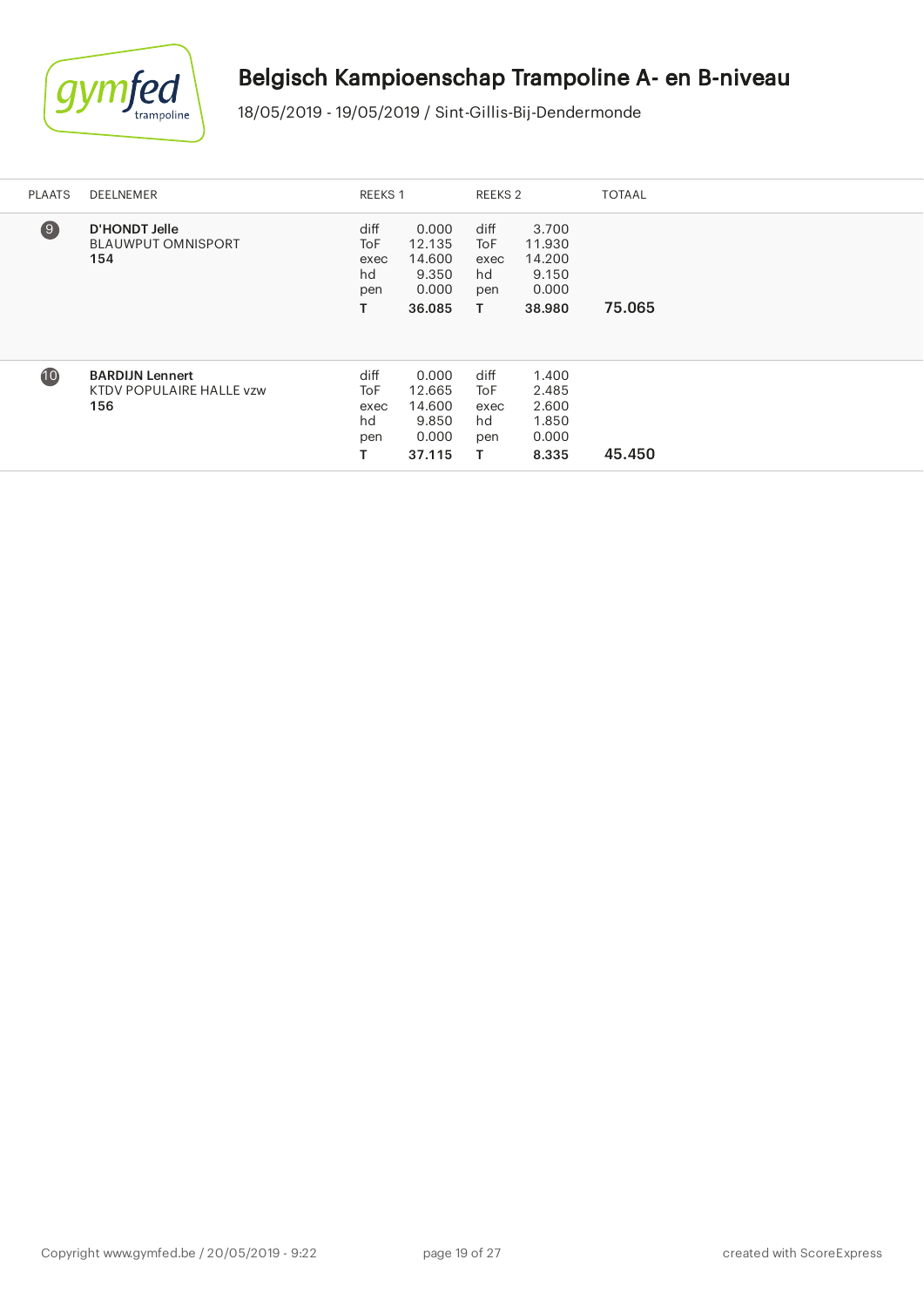

| <b>PLAATS</b> | <b>DEELNEMER</b>                                          | REEKS 1                                      |                                                       | REEKS 2                                      |                                                       | <b>TOTAAL</b> |
|---------------|-----------------------------------------------------------|----------------------------------------------|-------------------------------------------------------|----------------------------------------------|-------------------------------------------------------|---------------|
| $\Theta$      | <b>D'HONDT Jelle</b><br><b>BLAUWPUT OMNISPORT</b><br>154  | diff<br><b>ToF</b><br>exec<br>hd<br>pen<br>т | 0.000<br>12.135<br>14.600<br>9.350<br>0.000<br>36.085 | diff<br><b>ToF</b><br>exec<br>hd<br>pen<br>Τ | 3.700<br>11.930<br>14.200<br>9.150<br>0.000<br>38.980 | 75.065        |
| 10            | <b>BARDIJN Lennert</b><br>KTDV POPULAIRE HALLE vzw<br>156 | diff<br><b>ToF</b><br>exec<br>hd<br>pen<br>т | 0.000<br>12.665<br>14.600<br>9.850<br>0.000<br>37.115 | diff<br>ToF<br>exec<br>hd<br>pen<br>T.       | 1.400<br>2.485<br>2.600<br>1.850<br>0.000<br>8.335    | 45.450        |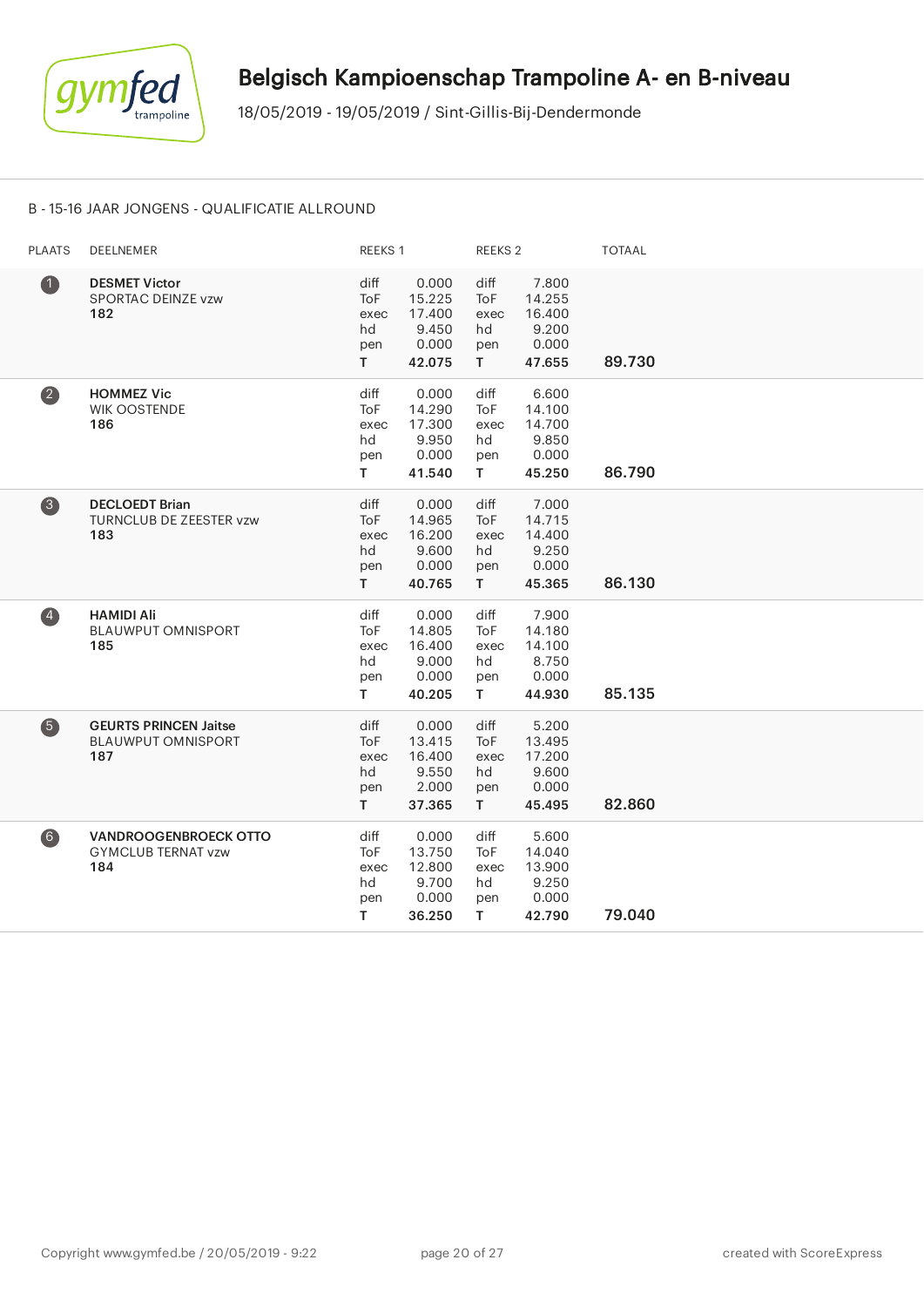

#### B - 15-16 JAAR JONGENS - QUALIFICATIE ALLROUND

| <b>PLAATS</b>      | DEELNEMER                                                        | REEKS 1                                |                                                       | <b>REEKS 2</b>                                |                                                       | <b>TOTAAL</b> |
|--------------------|------------------------------------------------------------------|----------------------------------------|-------------------------------------------------------|-----------------------------------------------|-------------------------------------------------------|---------------|
| $\bullet$          | <b>DESMET Victor</b><br>SPORTAC DEINZE vzw<br>182                | diff<br>ToF<br>exec<br>hd<br>pen<br>T. | 0.000<br>15.225<br>17.400<br>9.450<br>0.000<br>42.075 | diff<br>ToF<br>exec<br>hd<br>pen<br>T.        | 7.800<br>14.255<br>16.400<br>9.200<br>0.000<br>47.655 | 89.730        |
| $\left( 2\right)$  | <b>HOMMEZ Vic</b><br><b>WIK OOSTENDE</b><br>186                  | diff<br>ToF<br>exec<br>hd<br>pen<br>T. | 0.000<br>14.290<br>17.300<br>9.950<br>0.000<br>41.540 | diff<br>ToF<br>exec<br>hd<br>pen<br>T.        | 6.600<br>14.100<br>14.700<br>9.850<br>0.000<br>45.250 | 86.790        |
| $\left( 3 \right)$ | <b>DECLOEDT Brian</b><br><b>TURNCLUB DE ZEESTER vzw</b><br>183   | diff<br>ToF<br>exec<br>hd<br>pen<br>T. | 0.000<br>14.965<br>16.200<br>9.600<br>0.000<br>40.765 | diff<br><b>ToF</b><br>exec<br>hd<br>pen<br>T. | 7.000<br>14.715<br>14.400<br>9.250<br>0.000<br>45.365 | 86.130        |
| $\left( 4\right)$  | <b>HAMIDI Ali</b><br><b>BLAUWPUT OMNISPORT</b><br>185            | diff<br>ToF<br>exec<br>hd<br>pen<br>T. | 0.000<br>14.805<br>16.400<br>9.000<br>0.000<br>40.205 | diff<br>ToF<br>exec<br>hd<br>pen<br>T.        | 7.900<br>14.180<br>14.100<br>8.750<br>0.000<br>44.930 | 85.135        |
| 6                  | <b>GEURTS PRINCEN Jaitse</b><br><b>BLAUWPUT OMNISPORT</b><br>187 | diff<br>ToF<br>exec<br>hd<br>pen<br>T. | 0.000<br>13.415<br>16.400<br>9.550<br>2.000<br>37.365 | diff<br>ToF<br>exec<br>hd<br>pen<br>T.        | 5.200<br>13.495<br>17.200<br>9.600<br>0.000<br>45.495 | 82.860        |
| $\left( 6\right)$  | <b>VANDROOGENBROECK OTTO</b><br><b>GYMCLUB TERNAT vzw</b><br>184 | diff<br>ToF<br>exec<br>hd<br>pen<br>Τ  | 0.000<br>13.750<br>12.800<br>9.700<br>0.000<br>36.250 | diff<br>ToF<br>exec<br>hd<br>pen<br>T.        | 5.600<br>14.040<br>13.900<br>9.250<br>0.000<br>42.790 | 79.040        |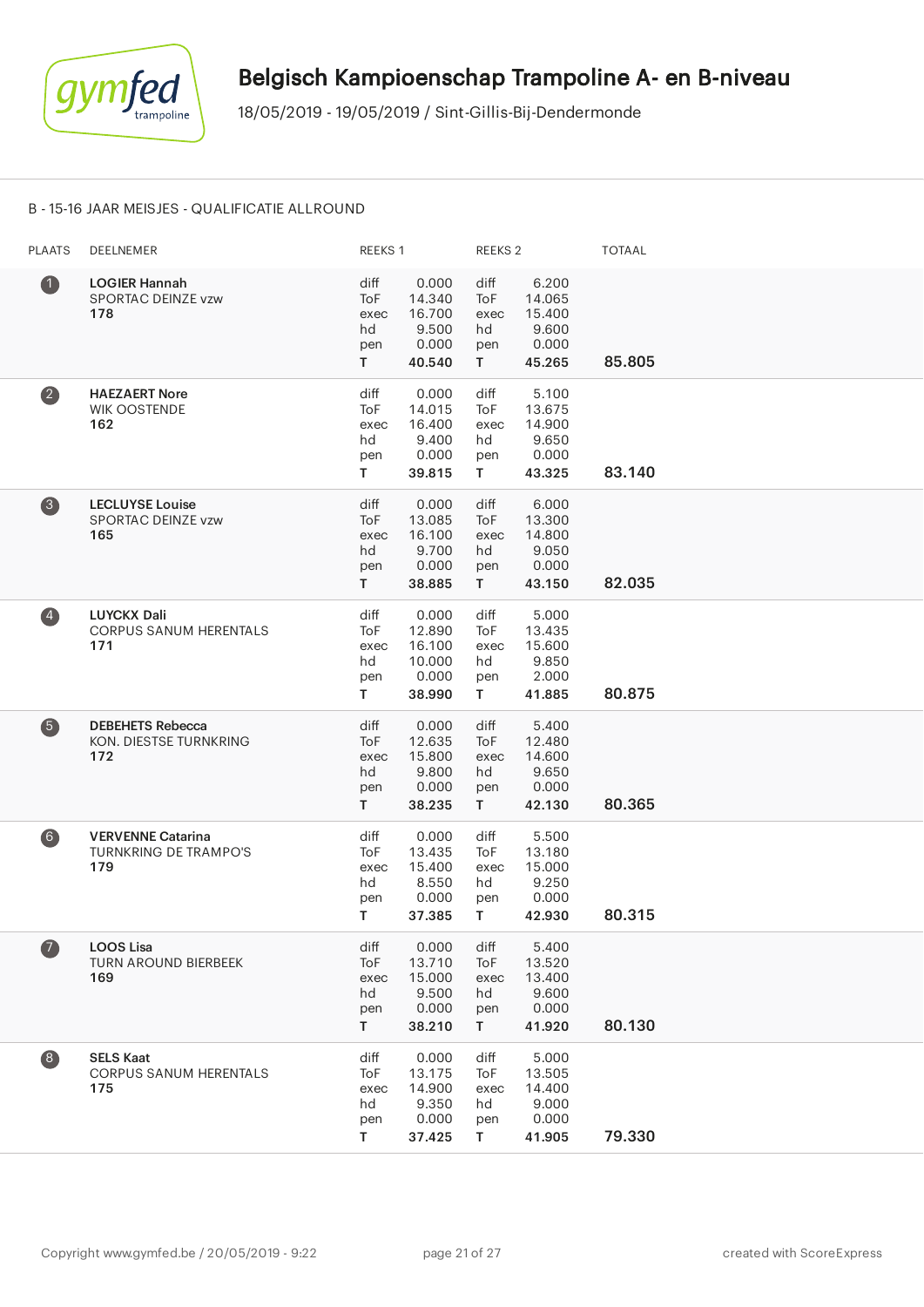

#### B - 15-16 JAAR MEISJES - QUALIFICATIE ALLROUND

| <b>PLAATS</b>                                  | DEELNEMER                                                       | REEKS 1                                       |                                                        | REEKS <sub>2</sub>                     |                                                       | <b>TOTAAL</b> |
|------------------------------------------------|-----------------------------------------------------------------|-----------------------------------------------|--------------------------------------------------------|----------------------------------------|-------------------------------------------------------|---------------|
| $\bf 0$                                        | <b>LOGIER Hannah</b><br>SPORTAC DEINZE vzw<br>178               | diff<br><b>ToF</b><br>exec<br>hd<br>pen<br>T. | 0.000<br>14.340<br>16.700<br>9.500<br>0.000<br>40.540  | diff<br>ToF<br>exec<br>hd<br>pen<br>T. | 6.200<br>14.065<br>15.400<br>9.600<br>0.000<br>45.265 | 85.805        |
| $\left( 2\right)$                              | <b>HAEZAERT Nore</b><br>WIK OOSTENDE<br>162                     | diff<br>ToF<br>exec<br>hd<br>pen<br>T.        | 0.000<br>14.015<br>16.400<br>9.400<br>0.000<br>39.815  | diff<br>ToF<br>exec<br>hd<br>pen<br>T. | 5.100<br>13.675<br>14.900<br>9.650<br>0.000<br>43.325 | 83.140        |
| 8                                              | <b>LECLUYSE Louise</b><br>SPORTAC DEINZE vzw<br>165             | diff<br>ToF<br>exec<br>hd<br>pen<br>T.        | 0.000<br>13.085<br>16.100<br>9.700<br>0.000<br>38.885  | diff<br>ToF<br>exec<br>hd<br>pen<br>T. | 6.000<br>13.300<br>14.800<br>9.050<br>0.000<br>43.150 | 82.035        |
| $\left( \begin{matrix} 4 \end{matrix} \right)$ | <b>LUYCKX Dali</b><br><b>CORPUS SANUM HERENTALS</b><br>171      | diff<br>ToF<br>exec<br>hd<br>pen<br>T.        | 0.000<br>12.890<br>16.100<br>10.000<br>0.000<br>38.990 | diff<br>ToF<br>exec<br>hd<br>pen<br>T. | 5.000<br>13.435<br>15.600<br>9.850<br>2.000<br>41.885 | 80.875        |
| 6                                              | <b>DEBEHETS Rebecca</b><br>KON. DIESTSE TURNKRING<br>172        | diff<br>ToF<br>exec<br>hd<br>pen<br>T         | 0.000<br>12.635<br>15.800<br>9.800<br>0.000<br>38.235  | diff<br>ToF<br>exec<br>hd<br>pen<br>T. | 5.400<br>12.480<br>14.600<br>9.650<br>0.000<br>42.130 | 80.365        |
| 6)                                             | <b>VERVENNE Catarina</b><br><b>TURNKRING DE TRAMPO'S</b><br>179 | diff<br>ToF<br>exec<br>hd<br>pen<br>T.        | 0.000<br>13.435<br>15.400<br>8.550<br>0.000<br>37.385  | diff<br>ToF<br>exec<br>hd<br>pen<br>T. | 5.500<br>13.180<br>15.000<br>9.250<br>0.000<br>42.930 | 80.315        |
| $\boldsymbol{\sigma}$                          | <b>LOOS Lisa</b><br><b>TURN AROUND BIERBEEK</b><br>169          | diff<br>ToF<br>exec<br>hd<br>pen<br>T.        | 0.000<br>13.710<br>15.000<br>9.500<br>0.000<br>38.210  | diff<br>ToF<br>exec<br>hd<br>pen<br>T. | 5.400<br>13.520<br>13.400<br>9.600<br>0.000<br>41.920 | 80.130        |
| $\begin{array}{c} \hline 8 \end{array}$        | <b>SELS Kaat</b><br><b>CORPUS SANUM HERENTALS</b><br>175        | diff<br>ToF<br>exec<br>hd<br>pen<br>T         | 0.000<br>13.175<br>14.900<br>9.350<br>0.000<br>37.425  | diff<br>ToF<br>exec<br>hd<br>pen<br>T. | 5.000<br>13.505<br>14.400<br>9.000<br>0.000<br>41.905 | 79.330        |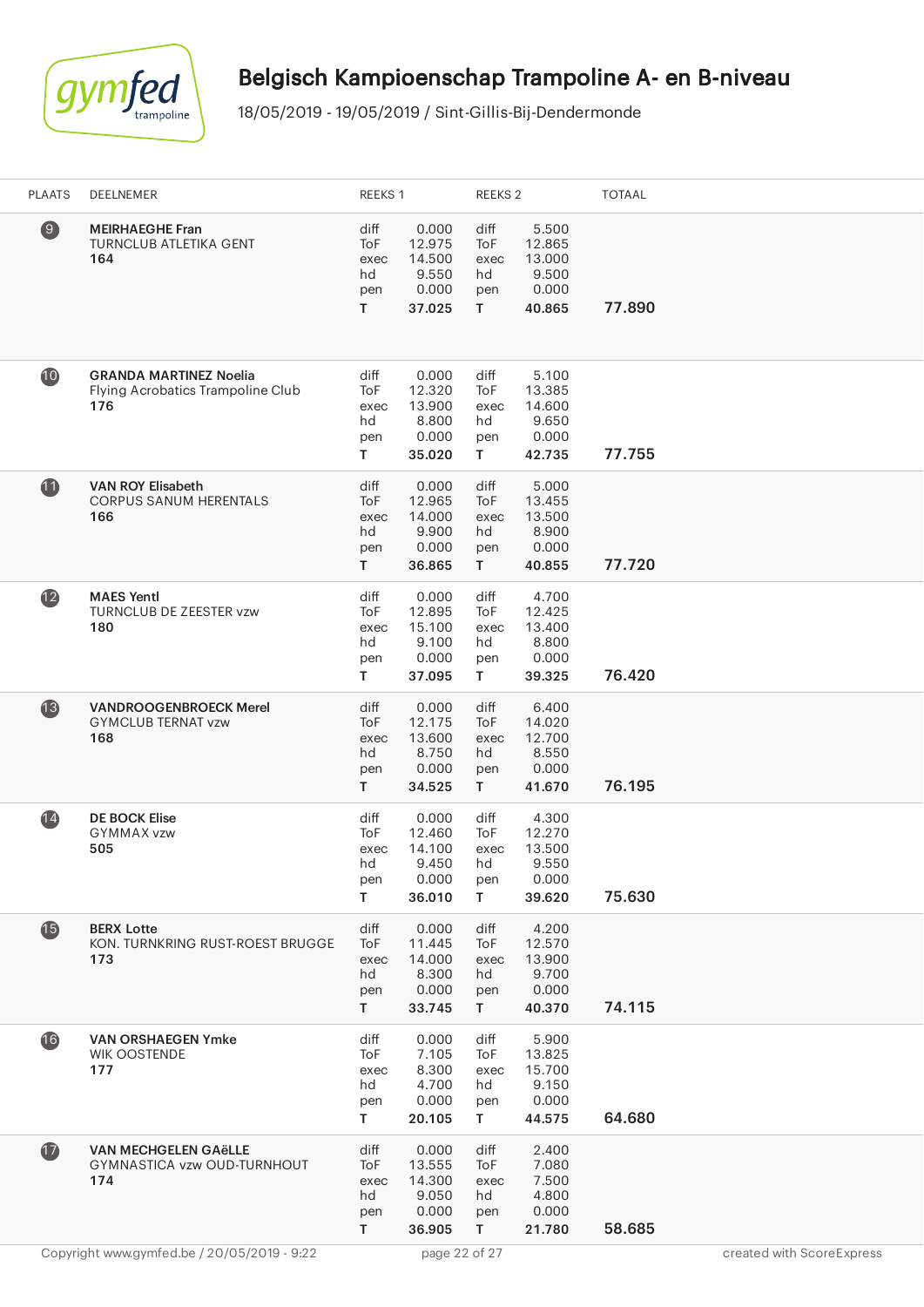

| <b>PLAATS</b>  | DEELNEMER                                                                 | REEKS 1                                |                                                       | REEKS <sub>2</sub>                     |                                                       | <b>TOTAAL</b> |                           |
|----------------|---------------------------------------------------------------------------|----------------------------------------|-------------------------------------------------------|----------------------------------------|-------------------------------------------------------|---------------|---------------------------|
| $\circledcirc$ | <b>MEIRHAEGHE Fran</b><br>TURNCLUB ATLETIKA GENT<br>164                   | diff<br>ToF<br>exec<br>hd<br>pen<br>T. | 0.000<br>12.975<br>14.500<br>9.550<br>0.000<br>37.025 | diff<br>ToF<br>exec<br>hd<br>pen<br>T. | 5.500<br>12.865<br>13.000<br>9.500<br>0.000<br>40.865 | 77.890        |                           |
| 10             | <b>GRANDA MARTINEZ Noelia</b><br>Flying Acrobatics Trampoline Club<br>176 | diff<br>ToF<br>exec<br>hd<br>pen<br>T. | 0.000<br>12.320<br>13.900<br>8.800<br>0.000<br>35.020 | diff<br>ToF<br>exec<br>hd<br>pen<br>T. | 5.100<br>13.385<br>14.600<br>9.650<br>0.000<br>42.735 | 77.755        |                           |
| $\mathbf{1}$   | <b>VAN ROY Elisabeth</b><br><b>CORPUS SANUM HERENTALS</b><br>166          | diff<br>ToF<br>exec<br>hd<br>pen<br>T. | 0.000<br>12.965<br>14.000<br>9.900<br>0.000<br>36.865 | diff<br>ToF<br>exec<br>hd<br>pen<br>T. | 5.000<br>13.455<br>13.500<br>8.900<br>0.000<br>40.855 | 77.720        |                           |
| $\mathbf{12}$  | <b>MAES Yentl</b><br>TURNCLUB DE ZEESTER vzw<br>180                       | diff<br>ToF<br>exec<br>hd<br>pen<br>T. | 0.000<br>12.895<br>15.100<br>9.100<br>0.000<br>37.095 | diff<br>ToF<br>exec<br>hd<br>pen<br>T. | 4.700<br>12.425<br>13.400<br>8.800<br>0.000<br>39.325 | 76.420        |                           |
| $\mathbf{13}$  | <b>VANDROOGENBROECK Merel</b><br><b>GYMCLUB TERNAT vzw</b><br>168         | diff<br>ToF<br>exec<br>hd<br>pen<br>T. | 0.000<br>12.175<br>13.600<br>8.750<br>0.000<br>34.525 | diff<br>ToF<br>exec<br>hd<br>pen<br>T  | 6.400<br>14.020<br>12.700<br>8.550<br>0.000<br>41.670 | 76.195        |                           |
| (14)           | <b>DE BOCK Elise</b><br>GYMMAX vzw<br>505                                 | diff<br>ToF<br>exec<br>hd<br>pen<br>T. | 0.000<br>12.460<br>14.100<br>9.450<br>0.000<br>36.010 | diff<br>ToF<br>exec<br>hd<br>pen<br>T. | 4.300<br>12.270<br>13.500<br>9.550<br>0.000<br>39.620 | 75.630        |                           |
| <b>15</b>      | <b>BERX Lotte</b><br>KON. TURNKRING RUST-ROEST BRUGGE<br>173              | diff<br>ToF<br>exec<br>hd<br>pen<br>T. | 0.000<br>11.445<br>14.000<br>8.300<br>0.000<br>33.745 | diff<br>ToF<br>exec<br>hd<br>pen<br>T. | 4.200<br>12.570<br>13.900<br>9.700<br>0.000<br>40.370 | 74.115        |                           |
| 16             | <b>VAN ORSHAEGEN Ymke</b><br>WIK OOSTENDE<br>177                          | diff<br>ToF<br>exec<br>hd<br>pen<br>T. | 0.000<br>7.105<br>8.300<br>4.700<br>0.000<br>20.105   | diff<br>ToF<br>exec<br>hd<br>pen<br>T. | 5.900<br>13.825<br>15.700<br>9.150<br>0.000<br>44.575 | 64.680        |                           |
| $\mathbf{1}$   | <b>VAN MECHGELEN GAËLLE</b><br>GYMNASTICA vzw OUD-TURNHOUT<br>174         | diff<br>ToF<br>exec<br>hd<br>pen<br>T. | 0.000<br>13.555<br>14.300<br>9.050<br>0.000<br>36.905 | diff<br>ToF<br>exec<br>hd<br>pen<br>T  | 2.400<br>7.080<br>7.500<br>4.800<br>0.000<br>21.780   | 58.685        |                           |
|                | Copyright www.gymfed.be / 20/05/2019 - 9:22                               |                                        | page 22 of 27                                         |                                        |                                                       |               | created with ScoreExpress |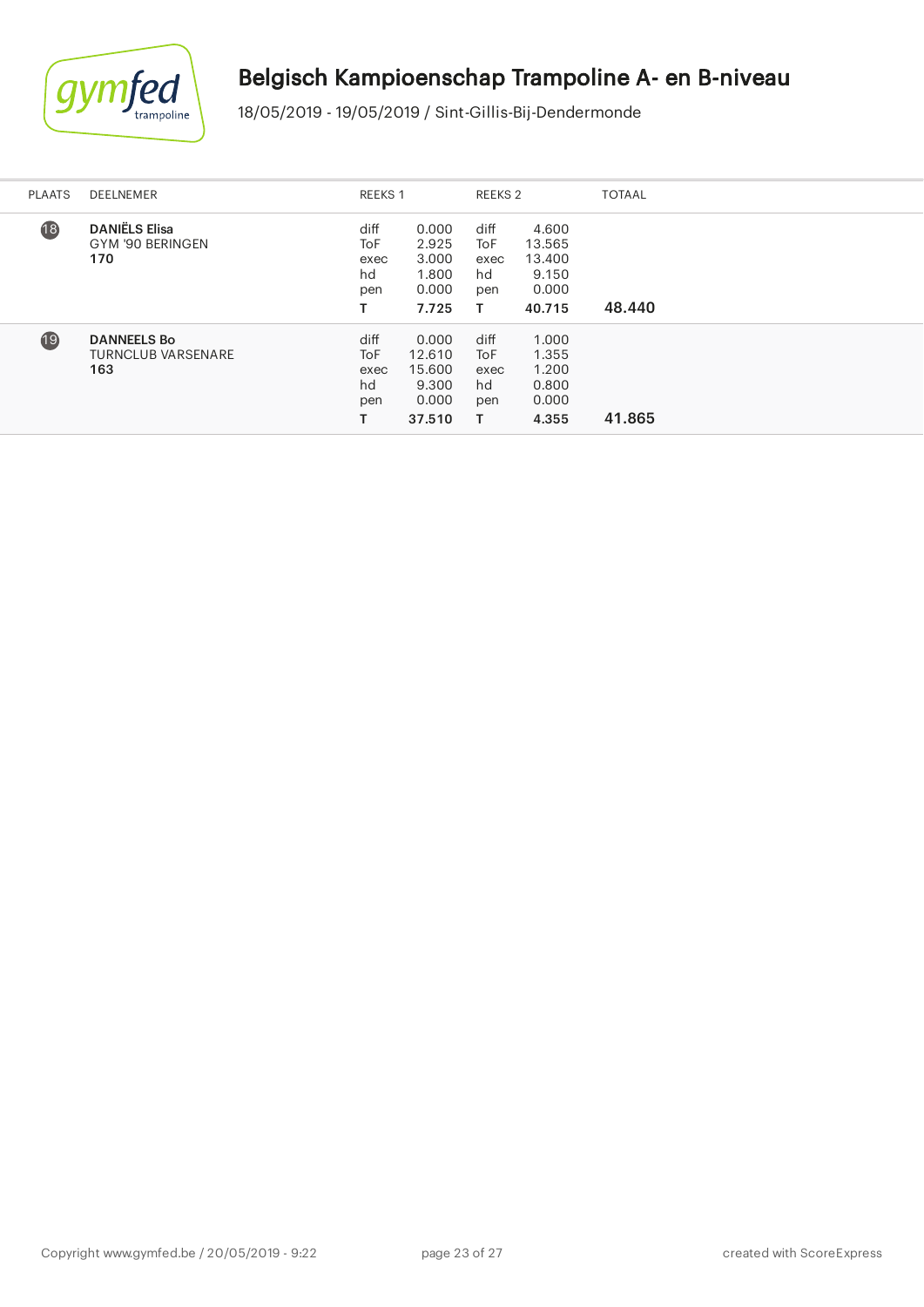

ł.

# Belgisch Kampioenschap Trampoline A- en B-niveau

| <b>PLAATS</b>   | DEELNEMER                                              | <b>REEKS 1</b>                               |                                                       | REEKS 2                                      |                                                       | <b>TOTAAL</b> |
|-----------------|--------------------------------------------------------|----------------------------------------------|-------------------------------------------------------|----------------------------------------------|-------------------------------------------------------|---------------|
| $\overline{18}$ | <b>DANIËLS Elisa</b><br>GYM '90 BERINGEN<br>170        | diff<br>ToF<br>exec<br>hd<br>pen             | 0.000<br>2.925<br>3.000<br>1.800<br>0.000<br>7.725    | diff<br><b>ToF</b><br>exec<br>hd<br>pen<br>т | 4.600<br>13.565<br>13.400<br>9.150<br>0.000<br>40.715 | 48.440        |
| 19              | <b>DANNEELS Bo</b><br><b>TURNCLUB VARSENARE</b><br>163 | diff<br><b>ToF</b><br>exec<br>hd<br>pen<br>т | 0.000<br>12.610<br>15.600<br>9.300<br>0.000<br>37.510 | diff<br><b>ToF</b><br>exec<br>hd<br>pen<br>т | 1.000<br>1.355<br>1.200<br>0.800<br>0.000<br>4.355    | 41.865        |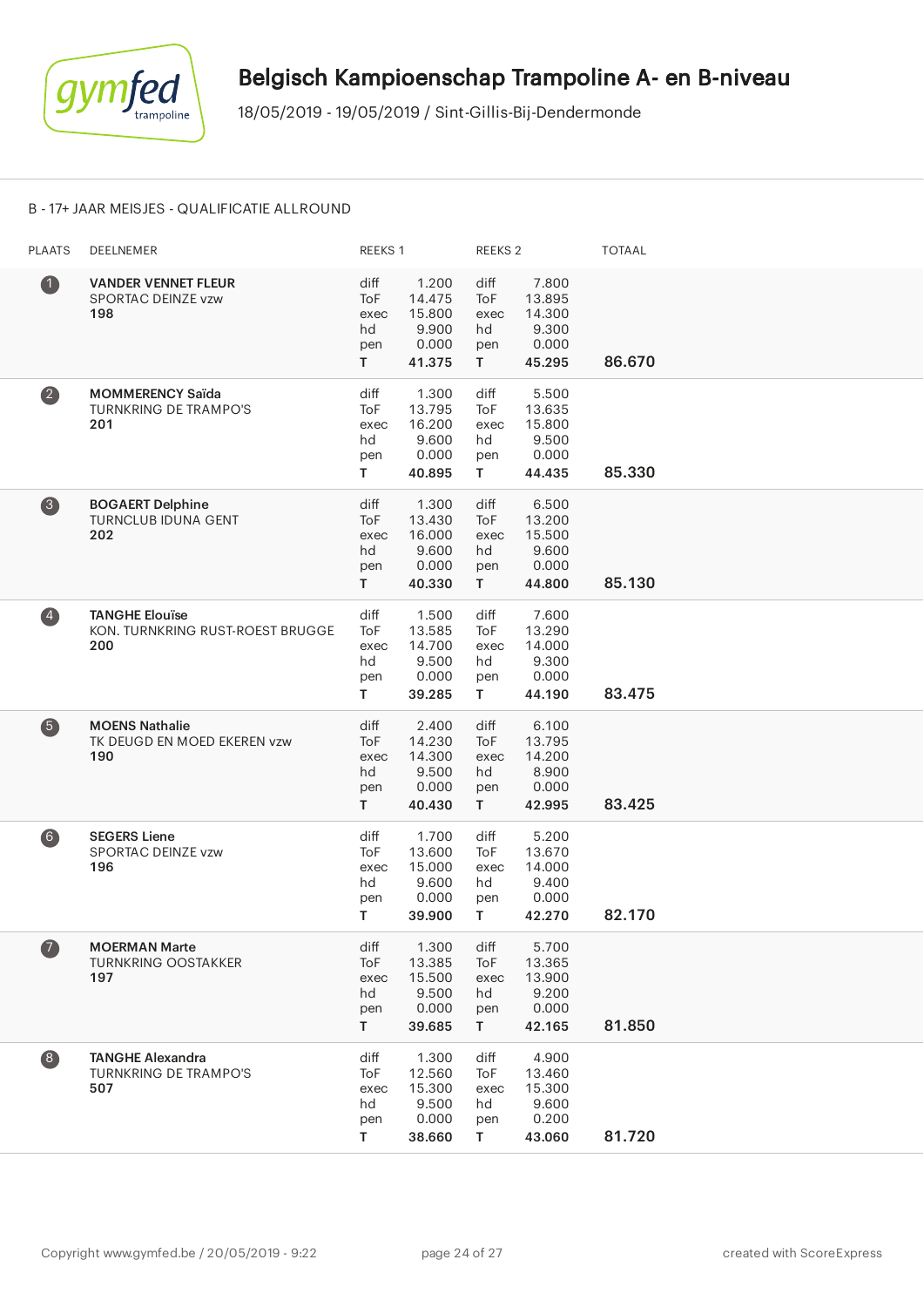

#### B - 17+ JAAR MEISJES - QUALIFICATIE ALLROUND

| <b>PLAATS</b>                                  | DEELNEMER                                                        | REEKS 1                                       |                                                       | REEKS <sub>2</sub>                     |                                                       | <b>TOTAAL</b> |
|------------------------------------------------|------------------------------------------------------------------|-----------------------------------------------|-------------------------------------------------------|----------------------------------------|-------------------------------------------------------|---------------|
| $\bf 0$                                        | <b>VANDER VENNET FLEUR</b><br>SPORTAC DEINZE vzw<br>198          | diff<br><b>ToF</b><br>exec<br>hd<br>pen<br>T. | 1.200<br>14.475<br>15.800<br>9.900<br>0.000<br>41.375 | diff<br>ToF<br>exec<br>hd<br>pen<br>T  | 7.800<br>13.895<br>14.300<br>9.300<br>0.000<br>45.295 | 86.670        |
| $\overline{\mathbf{2}}$                        | <b>MOMMERENCY Saïda</b><br><b>TURNKRING DE TRAMPO'S</b><br>201   | diff<br>ToF<br>exec<br>hd<br>pen<br>T.        | 1.300<br>13.795<br>16.200<br>9.600<br>0.000<br>40.895 | diff<br>ToF<br>exec<br>hd<br>pen<br>T. | 5.500<br>13.635<br>15.800<br>9.500<br>0.000<br>44.435 | 85.330        |
| 8                                              | <b>BOGAERT Delphine</b><br><b>TURNCLUB IDUNA GENT</b><br>202     | diff<br>ToF<br>exec<br>hd<br>pen<br>T.        | 1.300<br>13.430<br>16.000<br>9.600<br>0.000<br>40.330 | diff<br>ToF<br>exec<br>hd<br>pen<br>T  | 6.500<br>13.200<br>15.500<br>9.600<br>0.000<br>44.800 | 85.130        |
| $\left( \begin{matrix} 4 \end{matrix} \right)$ | <b>TANGHE Elouïse</b><br>KON. TURNKRING RUST-ROEST BRUGGE<br>200 | diff<br>ToF<br>exec<br>hd<br>pen<br>T.        | 1.500<br>13.585<br>14.700<br>9.500<br>0.000<br>39.285 | diff<br>ToF<br>exec<br>hd<br>pen<br>T. | 7.600<br>13.290<br>14.000<br>9.300<br>0.000<br>44.190 | 83.475        |
| 6                                              | <b>MOENS Nathalie</b><br>TK DEUGD EN MOED EKEREN vzw<br>190      | diff<br>ToF<br>exec<br>hd<br>pen<br>T.        | 2.400<br>14.230<br>14.300<br>9.500<br>0.000<br>40.430 | diff<br>ToF<br>exec<br>hd<br>pen<br>T. | 6.100<br>13.795<br>14.200<br>8.900<br>0.000<br>42.995 | 83.425        |
| $\left( 6\right)$                              | <b>SEGERS Liene</b><br><b>SPORTAC DEINZE vzw</b><br>196          | diff<br>ToF<br>exec<br>hd<br>pen<br>T.        | 1.700<br>13.600<br>15.000<br>9.600<br>0.000<br>39.900 | diff<br>ToF<br>exec<br>hd<br>pen<br>T. | 5.200<br>13.670<br>14.000<br>9.400<br>0.000<br>42.270 | 82.170        |
| $\bf{Z}$                                       | <b>MOERMAN Marte</b><br><b>TURNKRING OOSTAKKER</b><br>197        | diff<br>ToF<br>exec<br>hd<br>pen<br>T.        | 1.300<br>13.385<br>15.500<br>9.500<br>0.000<br>39.685 | diff<br>ToF<br>exec<br>hd<br>pen<br>T. | 5.700<br>13.365<br>13.900<br>9.200<br>0.000<br>42.165 | 81.850        |
| $\begin{array}{c} \hline 8 \end{array}$        | <b>TANGHE Alexandra</b><br><b>TURNKRING DE TRAMPO'S</b><br>507   | diff<br>ToF<br>exec<br>hd<br>pen<br>Τ         | 1.300<br>12.560<br>15.300<br>9.500<br>0.000<br>38.660 | diff<br>ToF<br>exec<br>hd<br>pen<br>T  | 4.900<br>13.460<br>15.300<br>9.600<br>0.200<br>43.060 | 81.720        |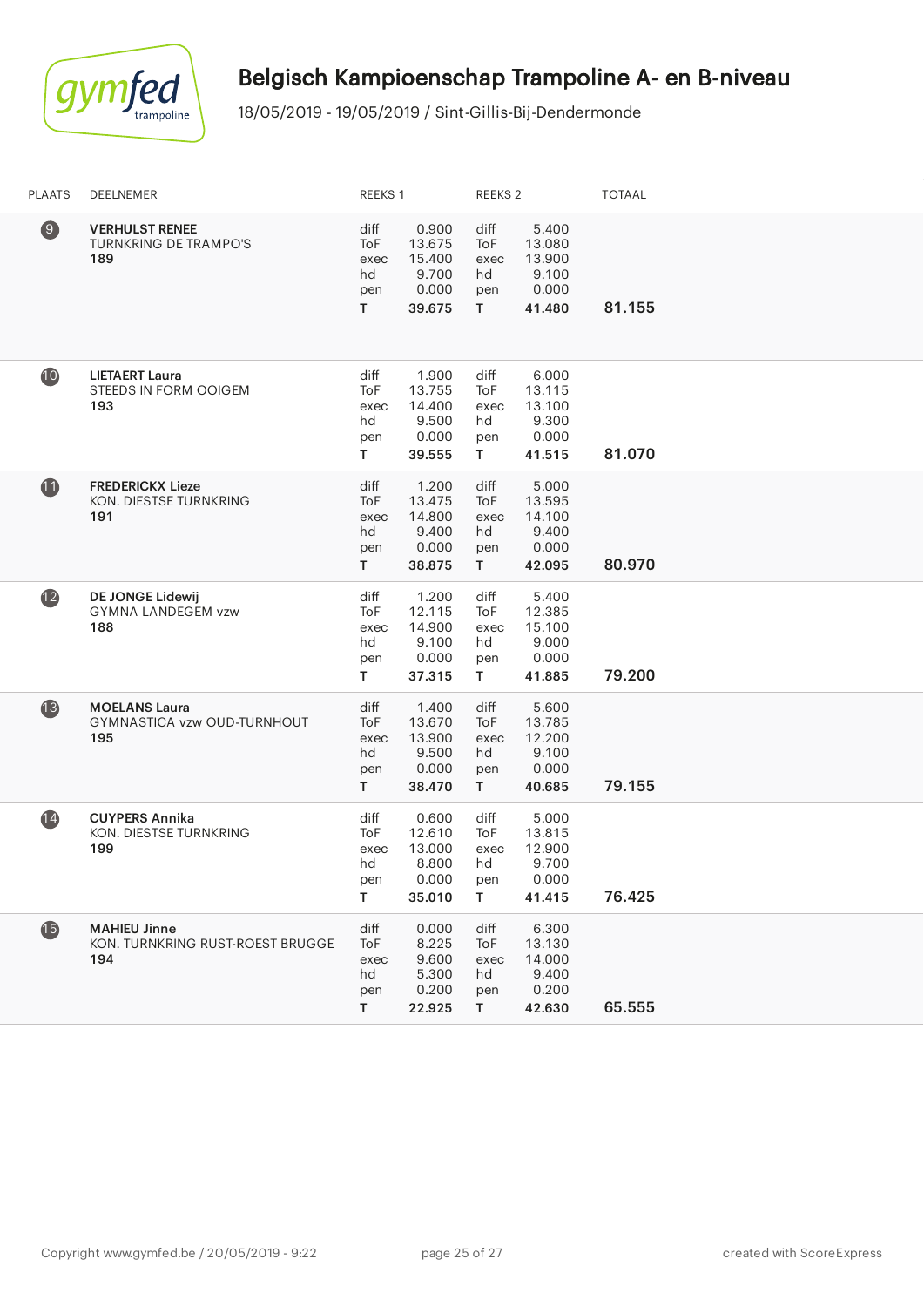

| <b>PLAATS</b>   | DEELNEMER                                                      | REEKS 1                                         |                                                       | REEKS 2                                |                                                       | <b>TOTAAL</b> |
|-----------------|----------------------------------------------------------------|-------------------------------------------------|-------------------------------------------------------|----------------------------------------|-------------------------------------------------------|---------------|
| $\circledcirc$  | <b>VERHULST RENEE</b><br><b>TURNKRING DE TRAMPO'S</b><br>189   | diff<br>ToF<br>exec<br>hd<br>pen<br>T.          | 0.900<br>13.675<br>15.400<br>9.700<br>0.000<br>39.675 | diff<br>ToF<br>exec<br>hd<br>pen<br>T. | 5.400<br>13.080<br>13.900<br>9.100<br>0.000<br>41.480 | 81.155        |
| 10              | <b>LIETAERT Laura</b><br>STEEDS IN FORM OOIGEM<br>193          | diff<br>ToF<br>exec<br>hd<br>pen<br>$\mathsf T$ | 1.900<br>13.755<br>14.400<br>9.500<br>0.000<br>39.555 | diff<br>ToF<br>exec<br>hd<br>pen<br>T  | 6.000<br>13.115<br>13.100<br>9.300<br>0.000<br>41.515 | 81.070        |
| $\mathbf{u}$    | <b>FREDERICKX Lieze</b><br>KON. DIESTSE TURNKRING<br>191       | diff<br>ToF<br>exec<br>hd<br>pen<br>T.          | 1.200<br>13.475<br>14.800<br>9.400<br>0.000<br>38.875 | diff<br>ToF<br>exec<br>hd<br>pen<br>T. | 5.000<br>13.595<br>14.100<br>9.400<br>0.000<br>42.095 | 80.970        |
| $\overline{12}$ | <b>DE JONGE Lidewij</b><br><b>GYMNA LANDEGEM vzw</b><br>188    | diff<br>ToF<br>exec<br>hd<br>pen<br>T           | 1.200<br>12.115<br>14.900<br>9.100<br>0.000<br>37.315 | diff<br>ToF<br>exec<br>hd<br>pen<br>T. | 5.400<br>12.385<br>15.100<br>9.000<br>0.000<br>41.885 | 79.200        |
| $\mathbf{13}$   | <b>MOELANS Laura</b><br>GYMNASTICA vzw OUD-TURNHOUT<br>195     | diff<br>ToF<br>exec<br>hd<br>pen<br>T.          | 1.400<br>13.670<br>13.900<br>9.500<br>0.000<br>38.470 | diff<br>ToF<br>exec<br>hd<br>pen<br>T. | 5.600<br>13.785<br>12.200<br>9.100<br>0.000<br>40.685 | 79.155        |
| (14)            | <b>CUYPERS Annika</b><br>KON. DIESTSE TURNKRING<br>199         | diff<br>ToF<br>exec<br>hd<br>pen<br>T.          | 0.600<br>12.610<br>13.000<br>8.800<br>0.000<br>35.010 | diff<br>ToF<br>exec<br>hd<br>pen<br>T. | 5.000<br>13.815<br>12.900<br>9.700<br>0.000<br>41.415 | 76.425        |
| $\bf \Phi$      | <b>MAHIEU Jinne</b><br>KON. TURNKRING RUST-ROEST BRUGGE<br>194 | diff<br>ToF<br>exec<br>hd<br>pen<br>T.          | 0.000<br>8.225<br>9.600<br>5.300<br>0.200<br>22.925   | diff<br>ToF<br>exec<br>hd<br>pen<br>T. | 6.300<br>13.130<br>14.000<br>9.400<br>0.200<br>42.630 | 65.555        |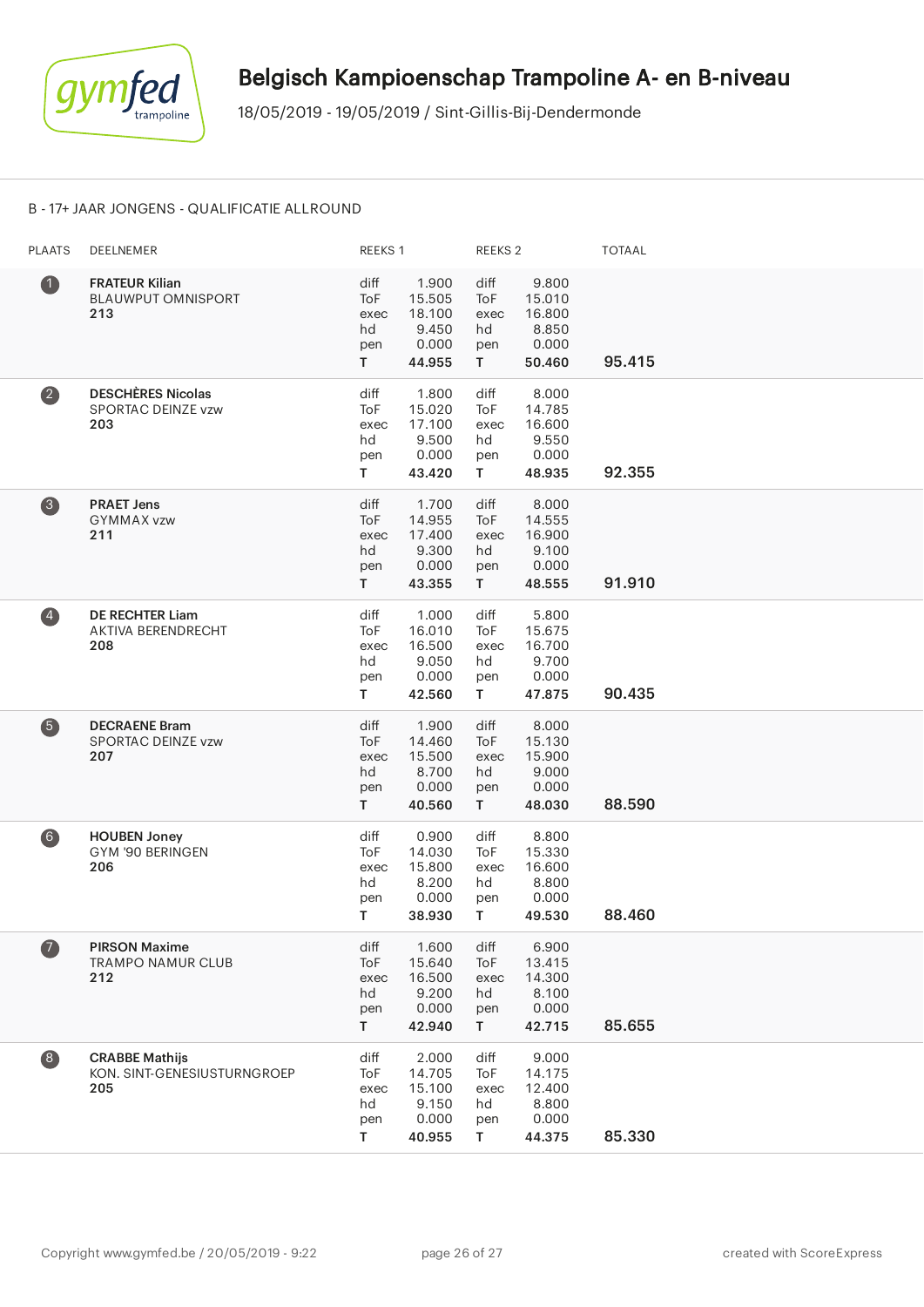

#### B - 17+ JAAR JONGENS - QUALIFICATIE ALLROUND

| <b>PLAATS</b>           | <b>DEELNEMER</b>                                            | REEKS 1                                |                                                       | REEKS <sub>2</sub>                              |                                                       | <b>TOTAAL</b> |
|-------------------------|-------------------------------------------------------------|----------------------------------------|-------------------------------------------------------|-------------------------------------------------|-------------------------------------------------------|---------------|
| $\bullet$               | <b>FRATEUR Kilian</b><br><b>BLAUWPUT OMNISPORT</b><br>213   | diff<br>ToF<br>exec<br>hd<br>pen<br>T. | 1.900<br>15.505<br>18.100<br>9.450<br>0.000<br>44.955 | diff<br>ToF<br>exec<br>hd<br>pen<br>T.          | 9.800<br>15.010<br>16.800<br>8.850<br>0.000<br>50.460 | 95.415        |
| $\overline{\mathbf{2}}$ | <b>DESCHÈRES Nicolas</b><br>SPORTAC DEINZE vzw<br>203       | diff<br>ToF<br>exec<br>hd<br>pen<br>T. | 1.800<br>15.020<br>17.100<br>9.500<br>0.000<br>43.420 | diff<br>ToF<br>exec<br>hd<br>pen<br>T.          | 8.000<br>14.785<br>16.600<br>9.550<br>0.000<br>48.935 | 92.355        |
| 3                       | <b>PRAET Jens</b><br><b>GYMMAX vzw</b><br>211               | diff<br>ToF<br>exec<br>hd<br>pen<br>T. | 1.700<br>14.955<br>17.400<br>9.300<br>0.000<br>43.355 | diff<br>ToF<br>exec<br>hd<br>pen<br>$\mathsf T$ | 8.000<br>14.555<br>16.900<br>9.100<br>0.000<br>48.555 | 91.910        |
| $\left( 4\right)$       | <b>DE RECHTER Liam</b><br>AKTIVA BERENDRECHT<br>208         | diff<br>ToF<br>exec<br>hd<br>pen<br>T  | 1.000<br>16.010<br>16.500<br>9.050<br>0.000<br>42.560 | diff<br>ToF<br>exec<br>hd<br>pen<br>T.          | 5.800<br>15.675<br>16.700<br>9.700<br>0.000<br>47.875 | 90.435        |
| 6                       | <b>DECRAENE Bram</b><br>SPORTAC DEINZE vzw<br>207           | diff<br>ToF<br>exec<br>hd<br>pen<br>T. | 1.900<br>14.460<br>15.500<br>8.700<br>0.000<br>40.560 | diff<br>ToF<br>exec<br>hd<br>pen<br>T.          | 8.000<br>15.130<br>15.900<br>9.000<br>0.000<br>48.030 | 88.590        |
| 6)                      | <b>HOUBEN Joney</b><br>GYM '90 BERINGEN<br>206              | diff<br>ToF<br>exec<br>hd<br>pen<br>T. | 0.900<br>14.030<br>15.800<br>8.200<br>0.000<br>38.930 | diff<br>ToF<br>exec<br>hd<br>pen<br>T.          | 8.800<br>15.330<br>16.600<br>8.800<br>0.000<br>49.530 | 88.460        |
| $\bullet$               | <b>PIRSON Maxime</b><br><b>TRAMPO NAMUR CLUB</b><br>212     | diff<br>ToF<br>exec<br>hd<br>pen<br>T. | 1.600<br>15.640<br>16.500<br>9.200<br>0.000<br>42.940 | diff<br>ToF<br>exec<br>hd<br>pen<br>T.          | 6.900<br>13.415<br>14.300<br>8.100<br>0.000<br>42.715 | 85.655        |
| 8                       | <b>CRABBE Mathijs</b><br>KON. SINT-GENESIUSTURNGROEP<br>205 | diff<br>ToF<br>exec<br>hd<br>pen<br>T  | 2.000<br>14.705<br>15.100<br>9.150<br>0.000<br>40.955 | diff<br>ToF<br>exec<br>hd<br>pen<br>T.          | 9.000<br>14.175<br>12.400<br>8.800<br>0.000<br>44.375 | 85.330        |